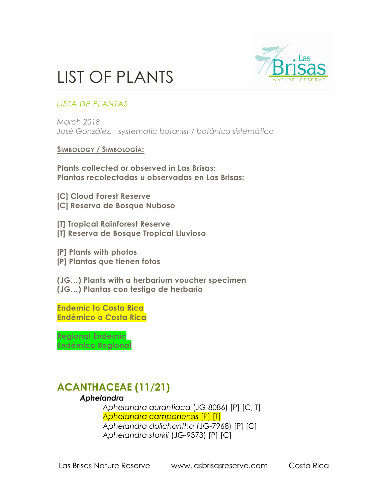

## LIST OF PLANTS

### *LISTA DE PLANTAS*

*March 2018 José González, systematic botanist / botánico sistemático*

#### **SIMBOLOGY / SIMBOLOGÍA:**

**Plants collected or observed in Las Brisas: Plantas recolectadas u observadas en Las Brisas:**

**[C] Cloud Forest Reserve [C] Reserva de Bosque Nuboso**

**[T] Tropical Rainforest Reserve [T] Reserva de Bosque Tropical Lluvioso**

**[P] Plants with photos [P] Plantas que tienen fotos**

**(JG…) Plants with a herbarium voucher specimen (JG…) Plantas con testigo de herbario**

**Endemic to Costa Rica Endémico a Costa Rica**

**Regional Endemic Endémico Regional** 

## **ACANTHACEAE (11/21)**

### *Aphelandra*

*Aphelandra aurantiaca* (JG-8086) [P] [C, T] *Aphelandra campanensis* [P] [T] *Aphelandra dolichantha* (JG-7968) [P] [C] *Aphelandra storkii* (JG-9373) [P] [C]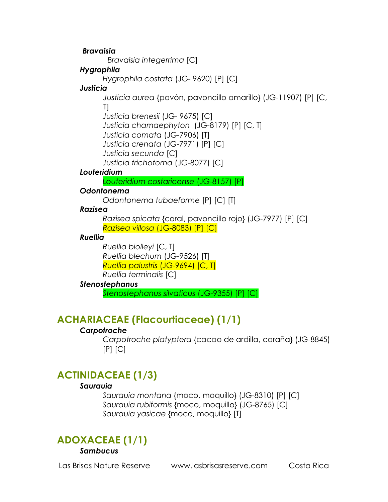*Bravaisia*

 *Bravaisia integerrima* [C]

#### *Hygrophila*

*Hygrophila costata* (JG- 9620) [P] [C]

#### *Justicia*

*Justicia aurea* {pavón, pavoncillo amarillo} (JG-11907) [P] [C, T] *Justicia brenesii* (JG- 9675) [C] *Justicia chamaephyton* (JG-8179) [P] [C, T] *Justicia comata* (JG-7906) [T] *Justicia crenata* (JG-7971) [P] [C] *Justicia secunda* [C] *Justicia trichotoma* (JG-8077) [C]

### *Louteridium*

*Louteridium costaricense* (JG-8157) [P]

### *Odontonema*

*Odontonema tubaeforme* [P] [C] [T]

### *Razisea*

*Razisea spicata* {coral, pavoncillo rojo} (JG-7977) [P] [C] *Razisea villosa* (JG-8083) [P] [C]

### *Ruellia*

*Ruellia biolleyi* [C, T] *Ruellia blechum* (JG-9526) [T] *Ruellia palustris* (JG-9694) [C, T] *Ruellia terminalis* [C]

### *Stenostephanus*

*Stenostephanus silvaticus* (JG-9355) [P] [C]

## **ACHARIACEAE (Flacourtiaceae) (1/1)**

### *Carpotroche*

*Carpotroche platyptera* {cacao de ardilla, caraña} (JG-8845)  $[P]$   $[C]$ 

## **ACTINIDACEAE (1/3)**

### *Saurauia*

*Saurauia montana* {moco, moquillo} (JG-8310) [P] [C] *Saurauia rubiformis* {moco, moquillo} (JG-8765) [C] *Saurauia yasicae* {moco, moquillo} [T]

## **ADOXACEAE (1/1)**

*Sambucus*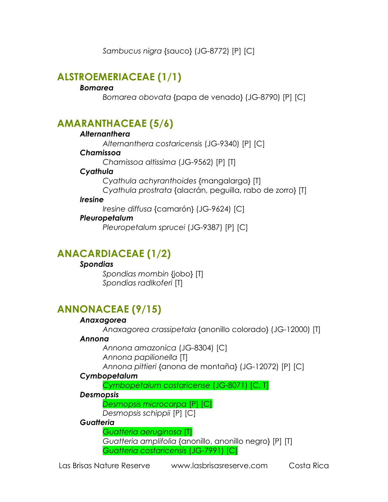*Sambucus nigra* {sauco} (JG-8772) [P] [C]

## **ALSTROEMERIACEAE (1/1)**

#### *Bomarea*

*Bomarea obovata* {papa de venado} (JG-8790) [P] [C]

### **AMARANTHACEAE (5/6)**

#### *Alternanthera*

*Alternanthera costaricensis* (JG-9340) [P] [C]

#### *Chamissoa*

*Chamissoa altissima* (JG-9562) [P] [T]

### *Cyathula*

*Cyathula achyranthoides* {mangalarga} [T]

*Cyathula prostrata* {alacrán, peguilla, rabo de zorro} [T]

#### *Iresine*

*Iresine diffusa* {camarón} (JG-9624) [C]

### *Pleuropetalum*

*Pleuropetalum sprucei* (JG-9387) [P] [C]

## **ANACARDIACEAE (1/2)**

### *Spondias*

*Spondias mombin* {jobo} [T] *Spondias radlkoferi* [T]

## **ANNONACEAE (9/15)**

### *Anaxagorea*

*Anaxagorea crassipetala* {anonillo colorado} (JG-12000) [T]

### *Annona*

*Annona amazonica* (JG-8304) [C] *Annona papilionella* [T]

*Annona pittieri* {anona de montaña} (JG-12072) [P] [C]

### *Cymbopetalum*

*Cymbopetalum costaricense* (JG-8071) [C, T]

### *Desmopsis*

*Desmopsis microcarpa* [P] [C]

*Desmopsis schippii* [P] [C]

### *Guatteria*

*Guatteria aeruginosa* [T] *Guatteria amplifolia* {anonillo, anonillo negro} [P] [T] *Guatteria costaricensis* (JG-7991) [C]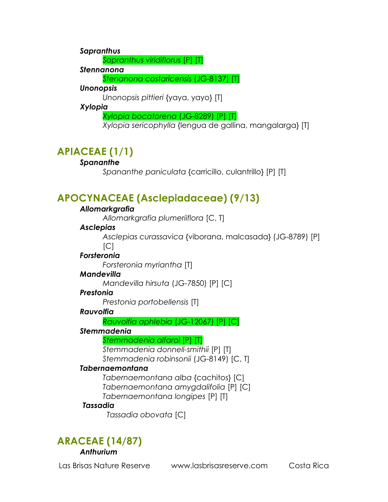*Sapranthus* 

*Sapranthus viridiflorus* [P] [T]

*Stennanona* 

*Stenanona costaricensis* (JG-8137) [T]

#### *Unonopsis*

*Unonopsis pittieri* {yaya, yayo} [T]

### *Xylopia*

*Xylopia bocatorena* (JG-8289) [P] [T]

*Xylopia sericophylla* {lengua de gallina, mangalarga} [T]

## **APIACEAE (1/1)**

### *Spananthe*

*Spananthe paniculata* {carricillo, culantrillo} [P] [T]

## **APOCYNACEAE (Asclepiadaceae) (9/13)**

### *Allomarkgrafia*

*Allomarkgrafia plumeriiflora* [C, T]

### *Asclepias*

*Asclepias curassavica* {viborana, malcasada} (JG-8789) [P]  $\lceil C \rceil$ 

### *Forsteronia*

*Forsteronia myriantha* [T]

### *Mandevilla*

*Mandevilla hirsuta* (JG-7850) [P] [C]

### *Prestonia*

*Prestonia portobellensis* [T]

### *Rauvolfia*

*Rauvolfia aphlebia* (JG-12067) [P] [C]

### *Stemmadenia*

*Stemmadenia alfaroi* [P] [T]

*Stemmadenia donnell-smithii* [P] [T] *Stemmadenia robinsonii* (JG-8149) [C, T]

### *Tabernaemontana*

*Tabernaemontana alba* {cachitos} [C] *Tabernaemontana amygdalifolia* [P] [C] *Tabernaemontana longipes* [P] [T]

### *Tassadia*

 *Tassadia obovata* [C]

## **ARACEAE (14/87)**

*Anthurium* 

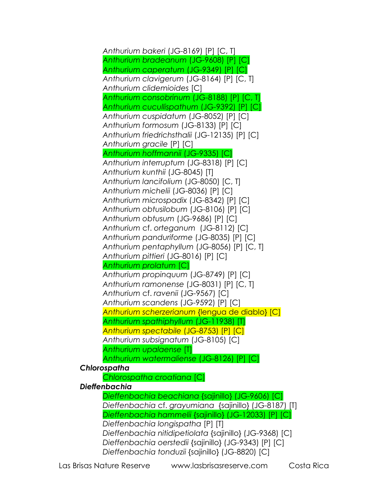*Anthurium bakeri* (JG-8169) [P] [C, T] *Anthurium bradeanum* (JG-9608) [P] [C] *Anthurium caperatum* (JG-9349) [P] [C] *Anthurium clavigerum* (JG-8164) [P] [C, T] *Anthurium clidemioides* [C] *Anthurium consobrinum* (JG-8188) [P] [C, T] *Anthurium cucullispathum* (JG-9392) [P] [C] *Anthurium cuspidatum* (JG-8052) [P] [C] *Anthurium formosum* (JG-8133) [P] [C] *Anthurium friedrichsthalii* (JG-12135) [P] [C] *Anthurium gracile* [P] [C] *Anthurium hoffmannii* (JG-9335) [C] *Anthurium interruptum* (JG-8318) [P] [C] *Anthurium kunthii* (JG-8045) [T] *Anthurium lancifolium* (JG-8050) [C, T] *Anthurium michelii* (JG-8036) [P] [C] *Anthurium microspadix* (JG-8342) [P] [C] *Anthurium obtusilobum* (JG-8106) [P] [C] *Anthurium obtusum* (JG-9686) [P] [C] *Anthurium* cf. *orteganum* (JG-8112) [C] *Anthurium panduriforme* (JG-8035) [P] [C] *Anthurium pentaphyllum* (JG-8056) [P] [C, T] *Anthurium pittieri* (JG-8016) [P] [C] *Anthurium prolatum* [C] *Anthurium propinquum* (JG-8749) [P] [C] *Anthurium ramonense* (JG-8031) [P] [C, T] *Anthurium* cf. *ravenii* (JG-9567) [C] *Anthurium scandens* (JG-9592) [P] [C] *Anthurium scherzerianum* {lengua de diablo} [C] *Anthurium spathiphyllum* (JG-11938) [T] *Anthurium spectabile* (JG-8753) [P] [C] *Anthurium subsignatum* (JG-8105) [C] *Anthurium upalaense* [T] *Anthurium watermaliense* (JG-8126) [P] [C] *Chlorospatha Chlorospatha croatiana* [C] *Dieffenbachia Dieffenbachia beachiana* {sajinillo} (JG-9606) [C] *Dieffenbachia* cf. *grayumiana* {sajinillo} (JG-8187) [T] *Dieffenbachia hammelii* {sajinillo} (JG-12033) [P] [C] *Dieffenbachia longispatha* [P] [T] *Dieffenbachia nitidipetiolata* {sajinillo} (JG-9368) [C] *Dieffenbachia oerstedii* {sajinillo} (JG-9343) [P] [C] *Dieffenbachia tonduzii* {sajinillo} (JG-8820) [C]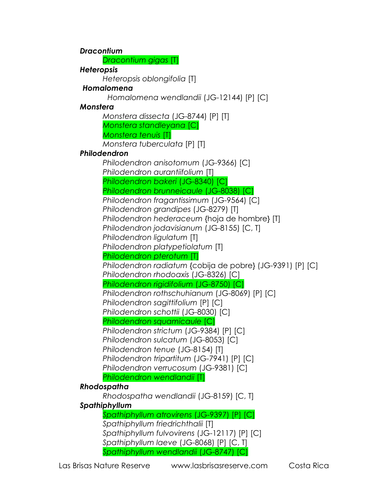*Dracontium Dracontium gigas* [T] *Heteropsis Heteropsis oblongifolia* [T]  *Homalomena Homalomena wendlandii* (JG-12144) [P] [C] *Monstera Monstera dissecta* (JG-8744) [P] [T] *Monstera standleyana* [C] *Monstera tenuis* [T] *Monstera tuberculata* [P] [T] *Philodendron Philodendron anisotomum* (JG-9366) [C] *Philodendron aurantiifolium* [T] *Philodendron bakeri* (JG-8340) [C] *Philodendron brunneicaule* (JG-8038) [C] *Philodendron fragantissimum* (JG-9564) [C] *Philodendron grandipes* (JG-8279) [T] *Philodendron hederaceum* {hoja de hombre} [T] *Philodendron jodavisianum* (JG-8155) [C, T] *Philodendron ligulatum* [T] *Philodendron platypetiolatum* [T] *Philodendron pterotum* [T] *Philodendron radiatum* {cobija de pobre} (JG-9391) [P] [C] *Philodendron rhodoaxis* (JG-8326) [C] *Philodendron rigidifolium* (JG-8750) [C] *Philodendron rothschuhianum* (JG-8069) [P] [C] *Philodendron sagittifolium* [P] [C] *Philodendron schottii* (JG-8030) [C] *Philodendron squamicaule* [C] *Philodendron strictum* (JG-9384) [P] [C] *Philodendron sulcatum* (JG-8053) [C] *Philodendron tenue* (JG-8154) [T] *Philodendron tripartitum* (JG-7941) [P] [C] *Philodendron verrucosum* (JG-9381) [C] *Philodendron wendlandii* [T] *Rhodospatha Rhodospatha wendlandii* (JG-8159) [C, T] *Spathiphyllum Spathiphyllum atrovirens* (JG-9397) [P] [C] *Spathiphyllum friedrichthalii* [T] *Spathiphyllum fulvovirens* (JG-12117) [P] [C] *Spathiphyllum laeve* (JG-8068) [P] [C, T] *Spathiphyllum wendlandii* (JG-8747) [C]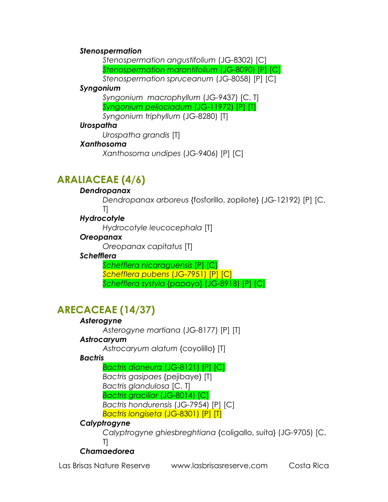#### *Stenospermation*

*Stenospermation angustifolium* (JG-8302) [C] *Stenospermation marantifolium* (JG-8090) [P] [C] *Stenospermation spruceanum* (JG-8058) [P] [C]

#### *Syngonium*

*Syngonium macrophyllum* (JG-9437) [C, T] *Syngonium peliocladum* (JG-11972) [P] [T] *Syngonium triphyllum* (JG-8280) [T]

### *Urospatha*

*Urospatha grandis* [T]

### *Xanthosoma*

*Xanthosoma undipes* (JG-9406) [P] [C]

## **ARALIACEAE (4/6)**

#### *Dendropanax*

*Dendropanax arboreus* {fosforillo, zopilote} (JG-12192) [P] [C, T]

### *Hydrocotyle*

*Hydrocotyle leucocephala* [T]

### *Oreopanax*

*Oreopanax capitatus* [T]

### *Schefflera*

*Schefflera nicaraguensis* [P] [C] *Schefflera pubens* (JG-7951) [P] [C] *Schefflera systyla* {papayo} (JG-8918) [P] [C]

## **ARECACEAE (14/37)**

### *Asterogyne*

*Asterogyne martiana* (JG-8177) [P] [T]

### *Astrocaryum*

*Astrocaryum alatum* {coyolillo} [T]

### *Bactris*

*Bactris dianeura* (JG-8121) [P] [C] *Bactris gasipaes* {pejibaye} [T] *Bactris glandulosa* [C, T] *Bactris gracilior* (JG-8014) [C] *Bactris hondurensis* (JG-7954) [P] [C] *Bactris longiseta* (JG-8301) [P] [T]

### *Calyptrogyne*

*Calyptrogyne ghiesbreghtiana* {coligallo, suita} (JG-9705) [C, T]

### *Chamaedorea*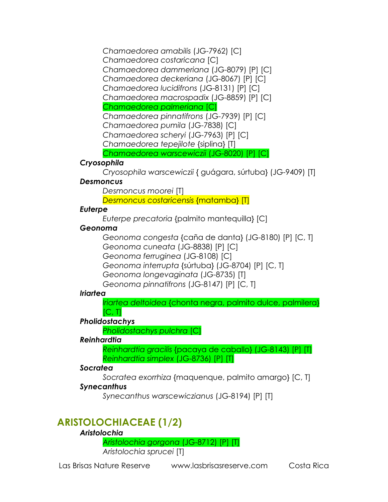*Chamaedorea amabilis* (JG-7962) [C] *Chamaedorea costaricana* [C] *Chamaedorea dammeriana* (JG-8079) [P] [C] *Chamaedorea deckeriana* (JG-8067) [P] [C] *Chamaedorea lucidifrons* (JG-8131) [P] [C] *Chamaedorea macrospadix* (JG-8859) [P] [C] *Chamaedorea palmeriana* [C] *Chamaedorea pinnatifrons* (JG-7939) [P] [C] *Chamaedorea pumila* (JG-7838) [C] *Chamaedorea scheryi* (JG-7963) [P] [C] *Chamaedorea tepejilote* {siplina} [T] *Chamaedorea warscewiczii* (JG-8020) [P] [C]

### *Cryosophila*

*Cryosophila warscewiczii* { guágara, súrtuba} (JG-9409) [T]

### *Desmoncus*

*Desmoncus moorei* [T]

*Desmoncus costaricensis* {matamba} [T]

### *Euterpe*

*Euterpe precatoria* {palmito mantequilla} [C]

### *Geonoma*

*Geonoma congesta* {caña de danta} (JG-8180) [P] [C, T] *Geonoma cuneata* (JG-8838) [P] [C] *Geonoma ferruginea* (JG-8108) [C] *Geonoma interrupta* {súrtuba} (JG-8704) [P] [C, T] *Geonoma longevaginata* (JG-8735) [T] *Geonoma pinnatifrons* (JG-8147) [P] [C, T]

### *Iriartea*

*Iriartea deltoidea* {chonta negra, palmito dulce, palmilera}  $[C, T]$ 

### *Pholidostachys*

*Pholidostachys pulchra* [C]

### *Reinhardtia*

*Reinhardtia gracilis* {pacaya de caballo} (JG-8143) [P] [T] *Reinhardtia simplex* (JG-8736) [P] [T]

### *Socratea*

*Socratea exorrhiza* {maquenque, palmito amargo} [C, T]

### *Synecanthus*

*Synecanthus warscewiczianus* (JG-8194) [P] [T]

## **ARISTOLOCHIACEAE (1/2)**

### *Aristolochia*

*Aristolochia gorgona* (JG-8712) [P] [T] *Aristolochia sprucei* [T]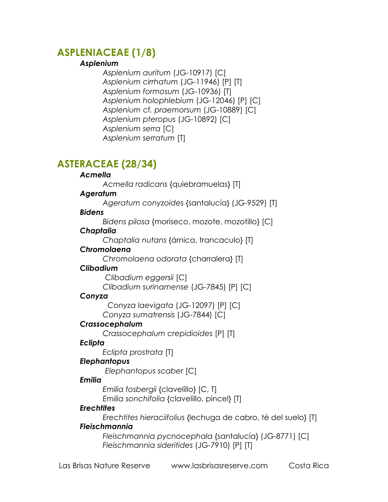## **ASPLENIACEAE (1/8)**

#### *Asplenium*

*Asplenium auritum* (JG-10917) [C] *Asplenium cirrhatum* (JG-11946) [P] [T] *Asplenium formosum* (JG-10936) [T] *Asplenium holophlebium* (JG-12046) [P] [C] *Asplenium* cf*. praemorsum* (JG-10889) [C] *Asplenium pteropus* (JG-10892) [C] *Asplenium serra* [C] *Asplenium serratum* [T]

## **ASTERACEAE (28/34)**

#### *Acmella*

*Acmella radicans* {quiebramuelas} [T]

#### *Ageratum*

*Ageratum conyzoides* {santalucía} (JG-9529) [T]

#### *Bidens*

*Bidens pilosa* {moriseco, mozote, mozotillo} [C]

#### *Chaptalia*

*Chaptalia nutans* {árnica, trancaculo} [T]

#### *Chromolaena*

*Chromolaena odorata* {charralera} [T]

### *Clibadium*

 *Clibadium eggersii* [C] *Clibadium surinamense* (JG-7845) [P] [C]

### *Conyza*

 *Conyza laevigata* (JG-12097) [P] [C] *Conyza sumatrensis* (JG-7844) [C]

### *Crassocephalum*

*Crassocephalum crepidioides* [P] [T]

### *Eclipta*

*Eclipta prostrata* [T]

### *Elephantopus*

 *Elephantopus scaber* [C]

### *Emilia*

*Emilia fosbergii* {clavelillo} [C, T] *Emilia sonchifolia* {clavelillo, pincel} [T]

### *Erechtites*

*Erechtites hieraciifolius* {lechuga de cabro, té del suelo} [T] *Fleischmannia*

### *Fleischmannia pycnocephala* {santalucía} (JG-8771) [C] *Fleischmannia sideritides* (JG-7910) [P] [T]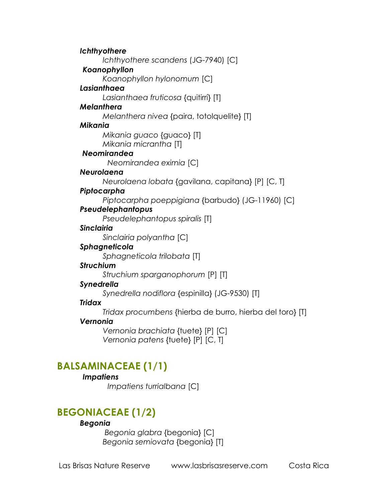*Ichthyothere Ichthyothere scandens* (JG-7940) [C]  *Koanophyllon Koanophyllon hylonomum* [C] *Lasianthaea Lasianthaea fruticosa* {quitirrí} [T] *Melanthera Melanthera nivea* {paira, totolquelite} [T] *Mikania Mikania guaco* {guaco} [T] *Mikania micrantha* [T]  *Neomirandea Neomirandea eximia* [C] *Neurolaena Neurolaena lobata* {gavilana, capitana} [P] [C, T] *Piptocarpha Piptocarpha poeppigiana* {barbudo} (JG-11960) [C] *Pseudelephantopus Pseudelephantopus spiralis* [T] *Sinclairia Sinclairia polyantha* [C] *Sphagneticola Sphagneticola trilobata* [T] *Struchium Struchium sparganophorum* [P] [T] *Synedrella Synedrella nodiflora* {espinilla} (JG-9530) [T] *Tridax Tridax procumbens* {hierba de burro, hierba del toro} [T] *Vernonia Vernonia brachiata* {tuete} [P] [C] *Vernonia patens* {tuete} [P] [C, T] **BALSAMINACEAE (1/1)**

### *Impatiens*

 *Impatiens turrialbana* [C]

### **BEGONIACEAE (1/2)**

#### *Begonia*

 *Begonia glabra* {begonia} [C] *Begonia semiovata* {begonia} [T]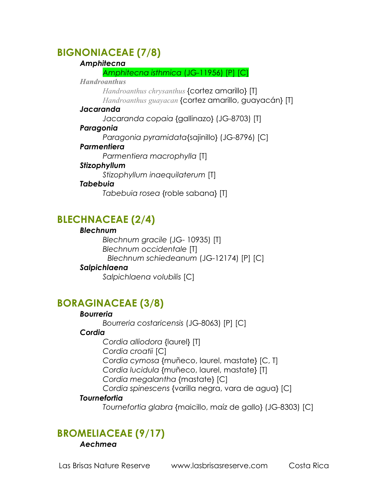## **BIGNONIACEAE (7/8)**

#### *Amphitecna*

*Amphitecna isthmica* (JG-11956) [P] [C]

#### *Handroanthus*

*Handroanthus chrysanthus* {cortez amarillo} [T] *Handroanthus guayacan* {cortez amarillo, guayacán} [T]

#### *Jacaranda*

*Jacaranda copaia* {gallinazo} (JG-8703) [T]

### *Paragonia*

*Paragonia pyramidata*{sajinillo} (JG-8796) [C]

### *Parmentiera*

*Stizophyllum* 

*Parmentiera macrophylla* [T]

### *Stizophyllum inaequilaterum* [T]

### *Tabebuia*

*Tabebuia rosea* {roble sabana} [T]

## **BLECHNACEAE (2/4)**

### *Blechnum*

*Blechnum gracile* (JG- 10935) [T] *Blechnum occidentale* [T]  *Blechnum schiedeanum* (JG-12174) [P] [C]

### *Salpichlaena*

*Salpichlaena volubilis* [C]

## **BORAGINACEAE (3/8)**

### *Bourreria*

*Bourreria costaricensis* (JG-8063) [P] [C]

### *Cordia*

*Cordia alliodora* {laurel} [T] *Cordia croatii* [C] *Cordia cymosa* {muñeco, laurel, mastate} [C, T] *Cordia lucidula* {muñeco, laurel, mastate} [T] *Cordia megalantha* {mastate} [C] *Cordia spinescens* {varilla negra, vara de agua} [C]

### *Tournefortia*

*Tournefortia glabra* {maicillo, maíz de gallo} (JG-8303) [C]

## **BROMELIACEAE (9/17)**

### *Aechmea*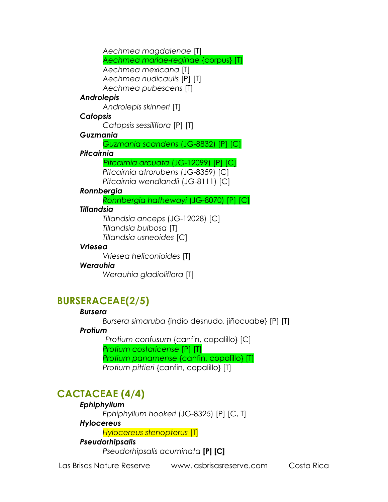*Aechmea magdalenae* [T] *Aechmea mariae-reginae* {corpus} [T] *Aechmea mexicana* [T] *Aechmea nudicaulis* [P] [T] *Aechmea pubescens* [T] *Androlepis Androlepis skinneri* [T] *Catopsis Catopsis sessiliflora* [P] [T] *Guzmania Guzmania scandens* (JG-8832) [P] [C] *Pitcairnia Pitcairnia arcuata* (JG-12099) [P] [C] *Pitcairnia atrorubens* (JG-8359) [C] *Pitcairnia wendlandii* (JG-8111) [C] *Ronnbergia Ronnbergia hathewayi* (JG-8070) [P] [C] *Tillandsia anceps* (JG-12028) [C] *Tillandsia bulbosa* [T] *Tillandsia usneoides* [C] *Vriesea heliconioides* [T]

#### *Tillandsia*

#### *Vriesea*

### *Werauhia*

*Werauhia gladioliflora* [T]

## **BURSERACEAE(2/5)**

### *Bursera*

*Bursera simaruba* {indio desnudo, jiñocuabe} [P] [T]

### *Protium*

 *Protium confusum* {canfin, copalillo} [C] *Protium costaricense* [P] [T] *Protium panamense* {canfin, copalillo} [T] *Protium pittieri* {canfin, copalillo} [T]

## **CACTACEAE (4/4)**

### *Ephiphyllum*

*Ephiphyllum hookeri* (JG-8325) [P] [C, T]

### *Hylocereus*

*Hylocereus stenopterus* [T]

### *Pseudorhipsalis*

*Pseudorhipsalis acuminata* **[P] [C]**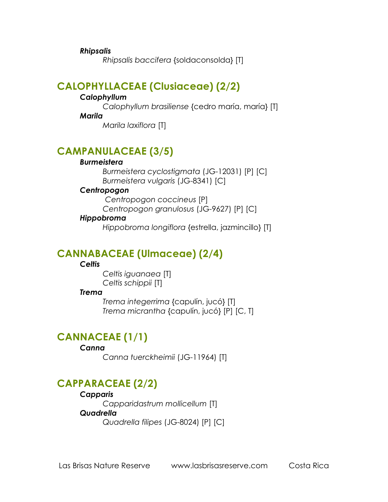*Rhipsalis*

*Rhipsalis baccifera* {soldaconsolda} [T]

### **CALOPHYLLACEAE (Clusiaceae) (2/2)**

#### *Calophyllum*

*Calophyllum brasiliense* {cedro maría, maría} [T]

*Marila*

*Marila laxiflora* [T]

## **CAMPANULACEAE (3/5)**

#### *Burmeistera*

*Burmeistera cyclostigmata* (JG-12031) [P] [C] *Burmeistera vulgaris* (JG-8341) [C]

#### *Centropogon*

 *Centropogon coccineus* [P]

*Centropogon granulosus* (JG-9627) [P] [C]

#### *Hippobroma*

*Hippobroma longiflora* {estrella, jazmincillo} [T]

### **CANNABACEAE (Ulmaceae) (2/4)**

#### *Celtis*

*Celtis iguanaea* [T] *Celtis schippii* [T]

#### *Trema*

*Trema integerrima* {capulín, jucó} [T] *Trema micrantha* {capulín, jucó} [P] [C, T]

## **CANNACEAE (1/1)**

#### *Canna*

*Canna tuerckheimii* (JG-11964) [T]

## **CAPPARACEAE (2/2)**

*Capparis Capparidastrum mollicellum* [T] *Quadrella Quadrella filipes* (JG-8024) [P] [C]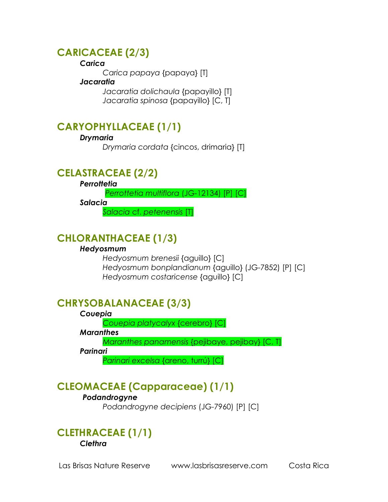### **CARICACEAE (2/3)**

#### *Carica*

*Carica papaya* {papaya} [T]

#### *Jacaratia*

*Jacaratia dolichaula* {papayillo} [T] *Jacaratia spinosa* {papayillo} [C, T]

## **CARYOPHYLLACEAE (1/1)**

### *Drymaria*

*Drymaria cordata* {cincos, drimaria} [T]

## **CELASTRACEAE (2/2)**

*Perrottetia*

 *Perrottetia multiflora* (JG-12134) [P] [C]

*Salacia*

*Salacia* cf. *petenensis* [T]

## **CHLORANTHACEAE (1/3)**

### *Hedyosmum*

*Hedyosmum brenesii* {aguillo} [C] *Hedyosmum bonplandianum* {aguillo} (JG-7852) [P] [C] *Hedyosmum costaricense* {aguillo} [C]

## **CHRYSOBALANACEAE (3/3)**

#### *Couepia*

*Couepia platycalyx* {cerebro} [C]

*Maranthes* 

*Maranthes panamensis* {pejibaye, pejibay} [C, T]

*Parinari* 

*Parinari excelsa* {areno, turrú} [C]

## **CLEOMACEAE (Capparaceae) (1/1)**

### *Podandrogyne*

*Podandrogyne decipiens* (JG-7960) [P] [C]

### **CLETHRACEAE (1/1)** *Clethra*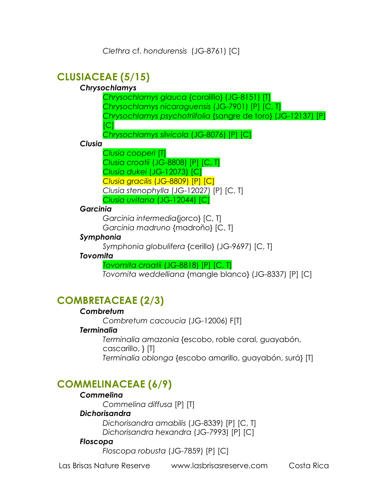## **CLUSIACEAE (5/15)**

### *Chrysochlamys*

*Chrysochlamys glauca* {coralillo} (JG-8151) [T] *Chrysochlamys nicaraguensis* (JG-7901) [P] [C, T] *Chrysochlamys psychotriifolia* {sangre de toro} (JG-12137) [P]  $|C|$ 

*Chrysochlamys silvicola* (JG-8076) [P] [C]

#### *Clusia*

*Clusia cooperi* [T] *Clusia croatii* (JG-8808) [P] [C, T] *Clusia dukei* (JG-12073) [C] *Clusia gracilis* (JG-8809) [P] [C] *Clusia stenophylla* (JG-12027) [P] [C, T] *Clusia uvitana* (JG-12044) [C]

### *Garcinia*

*Garcinia intermedia*{jorco} [C, T] *Garcinia madruno* {madroño} [C, T]

### *Symphonia*

*Symphonia globulifera* {cerillo} (JG-9697) [C, T]

#### *Tovomita*

*Tovomita croatii* (JG-8818) [P] [C, T]

*Tovomita weddelliana* {mangle blanco} (JG-8337) [P] [C]

## **COMBRETACEAE (2/3)**

### *Combretum*

*Combretum cacoucia* (JG-12006) F[T]

### *Terminalia*

*Terminalia amazonia* {escobo, roble coral, guayabón, cascarillo, } [T] *Terminalia oblonga* {escobo amarillo, guayabón, surá} [T]

## **COMMELINACEAE (6/9)**

#### *Commelina*

*Commelina diffusa* [P] [T]

### *Dichorisandra*

*Dichorisandra amabilis* (JG-8339) [P] [C, T] *Dichorisandra hexandra* (JG-7993) [P] [C]

#### *Floscopa*

*Floscopa robusta* (JG-7859) [P] [C]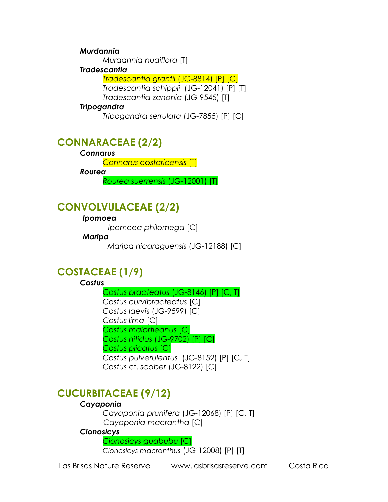#### *Murdannia*

*Murdannia nudiflora* [T]

#### *Tradescantia*

*Tradescantia grantii* (JG-8814) [P] [C] *Tradescantia schippii* (JG-12041) [P] [T] *Tradescantia zanonia* (JG-9545) [T]

#### *Tripogandra*

*Tripogandra serrulata* (JG-7855) [P] [C]

### **CONNARACEAE (2/2)**

#### *Connarus*

*Connarus costaricensis* [T]

*Rourea* 

*Rourea suerrensis* (JG-12001) [T]

## **CONVOLVULACEAE (2/2)**

#### *Ipomoea*

 *Ipomoea philomega* [C]

#### *Maripa*

 *Maripa nicaraguensis* (JG-12188) [C]

## **COSTACEAE (1/9)**

### *Costus*

*Costus bracteatus* (JG-8146) [P] [C, T] *Costus curvibracteatus* [C] *Costus laevis* (JG-9599) [C] *Costus lima* [C] *Costus malortieanus* [C] *Costus nitidus* (JG-9702) [P] [C] *Costus plicatus* [C] *Costus pulverulentus* (JG-8152) [P] [C, T] *Costus* cf. *scaber* (JG-8122) [C]

## **CUCURBITACEAE (9/12)**

### *Cayaponia*

*Cayaponia prunifera* (JG-12068) [P] [C, T] *Cayaponia macrantha* [C] *Cionosicys* 

*Cionosicys guabubu* [C]

*Cionosicys macranthus* (JG-12008) [P] [T]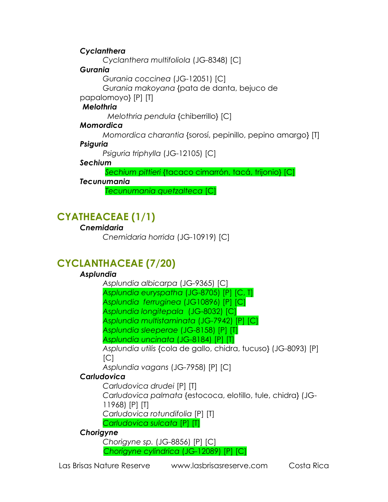### *Cyclanthera*

*Cyclanthera multifoliola* (JG-8348) [C]

### *Gurania*

*Gurania coccinea* (JG-12051) [C]

*Gurania makoyana* {pata de danta, bejuco de

papalomoyo} [P] [T]

### *Melothria*

 *Melothria pendula* {chiberrillo} [C]

### *Momordica*

*Momordica charantia* {sorosí, pepinillo, pepino amargo} [T]

### *Psiguria*

*Psiguria triphylla* (JG-12105) [C]

### *Sechium*

 *Sechium pittieri* {tacaco cimarrón, tacá, trijonio} [C]

### *Tecunumania*

 *Tecunumania quetzalteca* [C]

## **CYATHEACEAE (1/1)**

### *Cnemidaria*

*Cnemidaria horrida* (JG-10919) [C]

## **CYCLANTHACEAE (7/20)**

### *Asplundia*

*Asplundia albicarpa* (JG-9365) [C]

*Asplundia euryspatha* (JG-8705) [P] [C, T]

*Asplundia ferruginea* (JG10896) [P] [C]

*Asplundia longitepala* (JG-8032) [C]

*Asplundia multistaminata* (JG-7942) [P] [C]

*Asplundia sleeperae* (JG-8158) [P] [T]

*Asplundia uncinata* (JG-8184) [P] [T]

*Asplundia utilis* {cola de gallo, chidra, tucuso} (JG-8093) [P]  $|C|$ 

*Asplundia vagans* (JG-7958) [P] [C]

### *Carludovica*

*Carludovica drudei* [P] [T] *Carludovica palmata* {estococa, elotillo, tule, chidra} (JG-11968) [P] [T] *Carludovica rotundifolia* [P] [T] *Carludovica sulcata* [P] [T]

### *Chorigyne*

*Chorigyne sp.* (JG-8856) [P] [C] *Chorigyne cylindrica* (JG-12089) [P] [C]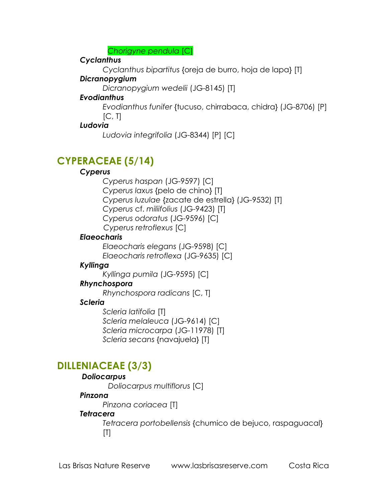*Chorigyne pendula* [C]

### *Cyclanthus*

*Cyclanthus bipartitus* {oreja de burro, hoja de lapa} [T]

### *Dicranopygium*

*Dicranopygium wedelii* (JG-8145) [T]

### *Evodianthus*

*Evodianthus funifer* {tucuso, chirrabaca, chidra} (JG-8706) [P]  $[C, T]$ 

### *Ludovia*

*Ludovia integrifolia* (JG-8344) [P] [C]

## **CYPERACEAE (5/14)**

### *Cyperus*

*Cyperus haspan* (JG-9597) [C] *Cyperus laxus* {pelo de chino} [T] *Cyperus luzulae* {zacate de estrella} (JG-9532) [T] *Cyperus* cf. *miliifolius* (JG-9423) [T] *Cyperus odoratus* (JG-9596) [C]  *Cyperus retroflexus* [C]

### *Elaeocharis*

*Elaeocharis elegans* (JG-9598) [C] *Elaeocharis retroflexa* (JG-9635) [C]

### *Kyllinga*

*Kyllinga pumila* (JG-9595) [C]

### *Rhynchospora*

*Rhynchospora radicans* [C, T]

### *Scleria*

*Scleria latifolia* [T] *Scleria melaleuca* (JG-9614) [C] *Scleria microcarpa* (JG-11978) [T] *Scleria secans* {navajuela} [T]

## **DILLENIACEAE (3/3)**

### *Doliocarpus*

 *Doliocarpus multiflorus* [C]

### *Pinzona*

*Pinzona coriacea* [T]

### *Tetracera*

*Tetracera portobellensis* {chumico de bejuco, raspaguacal}  $[T]$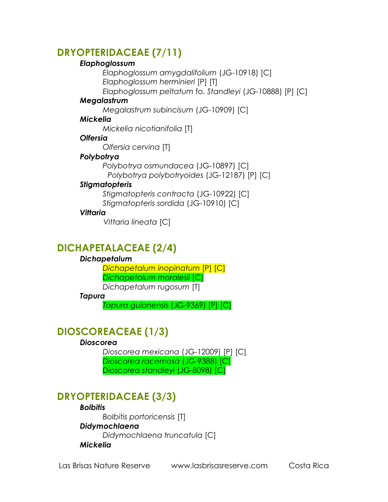## **DRYOPTERIDACEAE (7/11)**

#### *Elaphoglossum*

*Elaphoglossum amygdalifolium* (JG-10918) [C] *Elaphoglossum herminieri* [P] [T]

*Elaphoglossum peltatum* fo. *Standleyi* (JG-10888) [P] [C]

#### *Megalastrum*

*Megalastrum subincisum* (JG-10909) [C]

#### *Mickelia*

*Mickelia nicotianifolia* [T]

#### *Olfersia*

*Olfersia cervina* [T]

#### *Polybotrya*

*Polybotrya osmundacea* (JG-10897) [C]  *Polybotrya polybotryoides* (JG-12187) [P] [C]

### *Stigmatopteris*

*Stigmatopteris contracta* (JG-10922) [C] *Stigmatopteris sordida* (JG-10910) [C]

### *Vittaria*

 *Vittaria lineata* [C]

## **DICHAPETALACEAE (2/4)**

### *Dichapetalum*

*Dichapetalum inopinatum* [P] [C] *Dichapetalum moralesii* [C] *Dichapetalum rugosum* [T]

#### *Tapura*

*Tapura guianensis* (JG-9369) [P] [C]

## **DIOSCOREACEAE (1/3)**

### *Dioscorea*

*Dioscorea mexicana* (JG-12009) [P] [C] *Dioscorea racemosa* (JG-9388) [C] *Dioscorea standleyi* (JG-8098) [C]

## **DRYOPTERIDACEAE (3/3)**

### *Bolbitis*

*Bolbitis portoricensis* [T] *Didymochlaena Didymochlaena truncatula* [C] *Mickelia*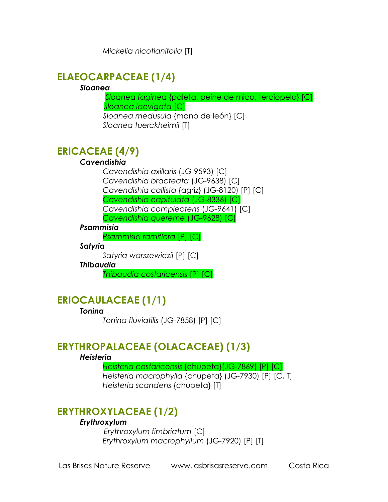*Mickelia nicotianifolia* [T]

## **ELAEOCARPACEAE (1/4)**

#### *Sloanea*

 *Sloanea faginea* {paleta, peine de mico, terciopelo} [C]  *Sloanea laevigata* [C] *Sloanea medusula* {mano de león} [C]

*Sloanea tuerckheimii* [T]

## **ERICACEAE (4/9)**

### *Cavendishia*

*Cavendishia axillaris* (JG-9593) [C] *Cavendishia bracteata* (JG-9638) [C] *Cavendishia callista* {agriz} (JG-8120) [P] [C] *Cavendishia capitulata* (JG-8336) [C] *Cavendishia complectens* (JG-9641) [C] *Cavendishia quereme* (JG-9628) [C]

#### *Psammisia*

*Psammisia ramiflora* [P] [C]

#### *Satyria*

*Satyria warszewiczii* [P] [C]

#### *Thibaudia*

*Thibaudia costaricensis* [P] [C]

## **ERIOCAULACEAE (1/1)**

#### *Tonina*

*Tonina fluviatilis* (JG-7858) [P] [C]

### **ERYTHROPALACEAE (OLACACEAE) (1/3)**

#### *Heisteria*

*Heisteria costaricensis* {chupeta}(JG-7869) [P] [C]

*Heisteria macrophylla* {chupeta} (JG-7930) [P] [C, T] *Heisteria scandens* {chupeta} [T]

## **ERYTHROXYLACEAE (1/2)**

### *Erythroxylum*

 *Erythroxylum fimbriatum* [C] *Erythroxylum macrophyllum* (JG-7920) [P] [T]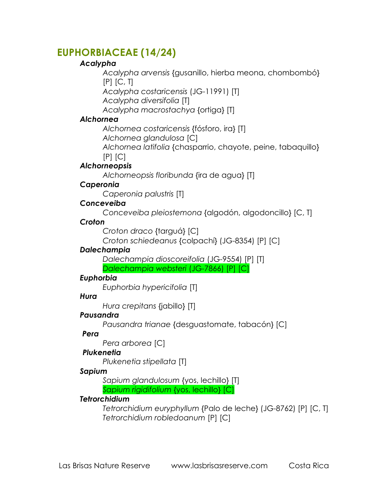### **EUPHORBIACEAE (14/24)**

### *Acalypha*

*Acalypha arvensis* {gusanillo, hierba meona, chombombó}  $[P]$   $[C, T]$ 

*Acalypha costaricensis* (JG-11991) [T]

*Acalypha diversifolia* [T]

*Acalypha macrostachya* {ortiga} [T]

### *Alchornea*

*Alchornea costaricensis* {fósforo, ira} [T]

*Alchornea glandulosa* [C]

*Alchornea latifolia* {chasparrio, chayote, peine, tabaquillo}  $[P]$   $[C]$ 

*Alchorneopsis*

*Alchorneopsis floribunda* {ira de agua} [T]

### *Caperonia*

*Caperonia palustris* [T]

### *Conceveiba*

*Conceveiba pleiostemona* {algodón, algodoncillo} [C, T]

### *Croton*

*Croton draco* {targuá} [C]

*Croton schiedeanus* {colpachí} (JG-8354) [P] [C]

### *Dalechampia*

*Dalechampia dioscoreifolia* (JG-9554) [P] [T] *Dalechampia websteri* (JG-7866) [P] [C]

### *Euphorbia*

*Euphorbia hypericifolia* [T]

### *Hura*

*Hura crepitans* {jabillo} [T]

### *Pausandra*

*Pausandra trianae* {desguastomate, tabacón} [C]

### *Pera*

*Pera arborea* [C]

### *Plukenetia*

*Plukenetia stipellata* [T]

### *Sapium*

*Sapium glandulosum* {yos, lechillo} [T] *Sapium rigidifolium* {yos, lechillo} [C]

### *Tetrorchidium*

*Tetrorchidium euryphyllum* {Palo de leche} (JG-8762) [P] [C, T] *Tetrorchidium robledoanum* [P] [C]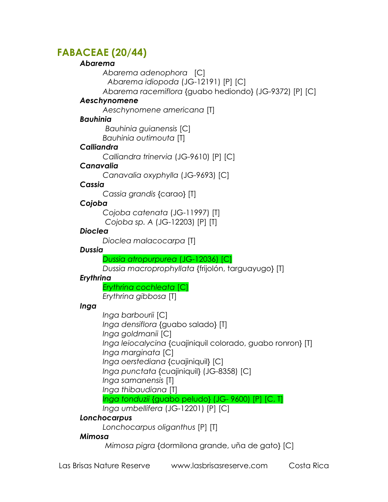## **FABACEAE (20/44)**

#### *Abarema*

*Abarema adenophora* [C]

 *Abarema idiopoda* (JG-12191) [P] [C]

*Abarema racemiflora* {guabo hediondo} (JG-9372) [P] [C]

### *Aeschynomene*

*Aeschynomene americana* [T]

### *Bauhinia*

 *Bauhinia guianensis* [C]

*Bauhinia outimouta* [T]

### *Calliandra*

*Calliandra trinervia* (JG-9610) [P] [C]

### *Canavalia*

*Canavalia oxyphylla* (JG-9693) [C]

### *Cassia*

*Cassia grandis* {carao} [T]

### *Cojoba*

*Cojoba catenata* (JG-11997) [T] *Cojoba sp. A* (JG-12203) [P] [T]

### *Dioclea*

*Dioclea malacocarpa* [T]

### *Dussia*

*Dussia atropurpurea* (JG-12036) [C]

*Dussia macroprophyllata* {frijolón, targuayugo} [T]

### *Erythrina*

*Erythrina cochleata* [C] *Erythrina gibbosa* [T]

### *Inga*

*Inga barbourii* [C] *Inga densiflora* {guabo salado} [T] *Inga goldmanii* [C] *Inga leiocalycina* {cuajiniquil colorado, guabo ronron} [T] *Inga marginata* [C] *Inga oerstediana* {cuajiniquil} [C] *Inga punctata* {cuajiniquil} (JG-8358) [C] *Inga samanensis* [T] *Inga thibaudiana* [T]

### *Inga tonduzii* {guabo peludo} (JG- 9600) [P] [C, T]

*Inga umbellifera* (JG-12201) [P] [C]

### *Lonchocarpus*

*Lonchocarpus oliganthus* [P] [T]

### *Mimosa*

 *Mimosa pigra* {dormilona grande, uña de gato} [C]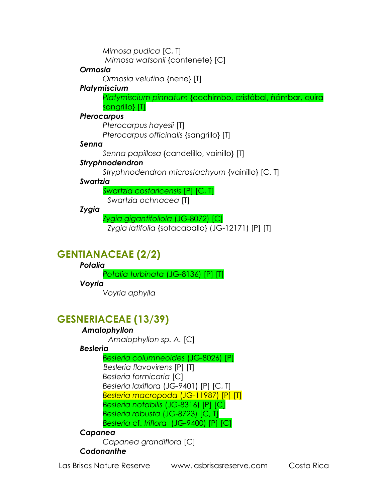*Mimosa pudica* [C, T]

 *Mimosa watsonii* {contenete} [C]

### *Ormosia*

*Ormosia velutina* {nene} [T]

### *Platymiscium*

*Platymiscium pinnatum* {cachimbo, cristóbal, ñámbar, quira sangrillo} [T]

### *Pterocarpus*

*Pterocarpus hayesii* [T] *Pterocarpus officinalis* {sangrillo} [T]

### *Senna*

*Senna papillosa* {candelillo, vainillo} [T]

### *Stryphnodendron*

*Stryphnodendron microstachyum* {vainillo} [C, T]

### *Swartzia*

*Swartzia costaricensis* [P] [C, T]  *Swartzia ochnacea* [T]

*Zygia* 

*Zygia gigantifoliola* (JG-8072) [C]

*Zygia latifolia* {sotacaballo} (JG-12171) [P] [T]

## **GENTIANACEAE (2/2)**

### *Potalia*

*Potalia turbinata* (JG-8136) [P] [T]

### *Voyria*

*Voyria aphylla*

## **GESNERIACEAE (13/39)**

### *Amalophyllon*

 *Amalophyllon sp. A.* [C]

### *Besleria*

*Besleria columneoides* (JG-8026) [P]  *Besleria flavovirens* [P] [T] *Besleria formicaria* [C] *Besleria laxiflora* (JG-9401) [P] [C, T] *Besleria macropoda* (JG-11987) [P] [T] *Besleria notabilis* (JG-8316) [P] [C] *Besleria robusta* (JG-8723) [C, T] *Besleria* cf. *triflora* (JG-9400) [P] [C]

### *Capanea*

*Capanea grandiflora* [C]

### *Codonanthe*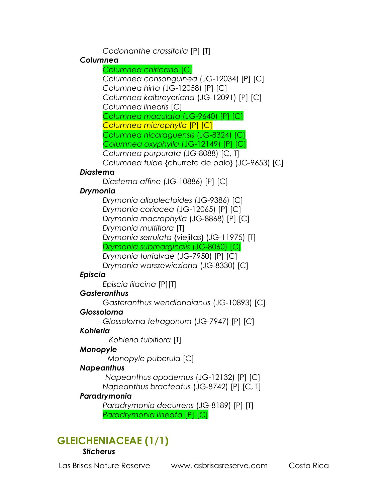*Codonanthe crassifolia* [P] [T]

### *Columnea*

*Columnea chiricana* [C] *Columnea consanguinea* (JG-12034) [P] [C] *Columnea hirta* (JG-12058) [P] [C] *Columnea kalbreyeriana* (JG-12091) [P] [C]

*Columnea linearis* [C]

*Columnea maculata* (JG-9640) [P] [C] *Columnea microphylla* [P] [C]

*Columnea nicaraguensis* (JG-8324) [C]

 *Columnea oxyphylla* (JG-12149) [P] [C]

*Columnea purpurata* (JG-8088) [C, T]

*Columnea tulae* {churrete de palo} (JG-9653) [C]

### *Diastema*

*Diastema affine* (JG-10886) [P] [C]

### *Drymonia*

*Drymonia alloplectoides* (JG-9386) [C] *Drymonia coriacea* (JG-12065) [P] [C] *Drymonia macrophylla* (JG-8868) [P] [C] *Drymonia multiflora* [T] *Drymonia serrulata* {viejitas} (JG-11975) [T] *Drymonia submarginalis* (JG-8060) [C] *Drymonia turrialvae* (JG-7950) [P] [C]

*Drymonia warszewicziana* (JG-8330) [C]

### *Episcia*

*Episcia lilacina* [P][T]

### *Gasteranthus*

*Gasteranthus wendlandianus* (JG-10893) [C]

### *Glossoloma*

*Glossoloma tetragonum* (JG-7947) [P] [C]

### *Kohleria*

 *Kohleria tubiflora* [T]

### *Monopyle*

 *Monopyle puberula* [C]

### *Napeanthus*

 *Napeanthus apodemus* (JG-12132) [P] [C] *Napeanthus bracteatus* (JG-8742) [P] [C, T]

### *Paradrymonia*

*Paradrymonia decurrens* (JG-8189) [P] [T] *Paradrymonia lineata* [P] [C]

## **GLEICHENIACEAE (1/1)**

### *Sticherus*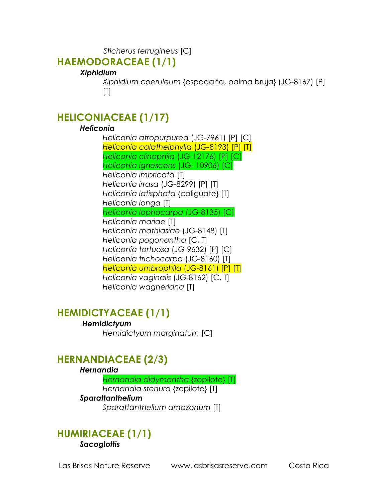*Sticherus ferrugineus* [C]

### **HAEMODORACEAE (1/1)**

### *Xiphidium*

*Xiphidium coeruleum* {espadaña, palma bruja} (JG-8167) [P]  $[T]$ 

## **HELICONIACEAE (1/17)**

### *Heliconia*

*Heliconia atropurpurea* (JG-7961) [P] [C] *Heliconia calatheiphylla* (JG-8193) [P] [T] *Heliconia clinophila* (JG-12176) [P] [C] *Heliconia ignescens* (JG- 10906) [C] *Heliconia imbricata* [T] *Heliconia irrasa* (JG-8299) [P] [T] *Heliconia latisphata* {caliguate} [T] *Heliconia longa* [T] *Heliconia lophocarpa* (JG-8135) [C] *Heliconia mariae* [T] *Heliconia mathiasiae* (JG-8148) [T] *Heliconia pogonantha* [C, T] *Heliconia tortuosa* (JG-9632) [P] [C] *Heliconia trichocarpa* (JG-8160) [T] *Heliconia umbrophila* (JG-8161) [P] [T] *Heliconia vaginalis* (JG-8162) [C, T] *Heliconia wagneriana* [T]

## **HEMIDICTYACEAE (1/1)**

### *Hemidictyum*

*Hemidictyum marginatum* [C]

## **HERNANDIACEAE (2/3)**

#### *Hernandia*

*Hernandia didymantha* {zopilote} [T] *Hernandia stenura* {zopilote} [T]

### *Sparattanthelium*

*Sparattanthelium amazonum* [T]

### **HUMIRIACEAE (1/1)** *Sacoglottis*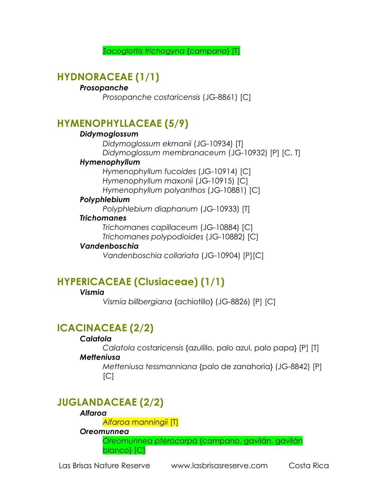*Sacoglottis trichogyna* {campano} [T]

## **HYDNORACEAE (1/1)**

### *Prosopanche*

*Prosopanche costaricensis* (JG-8861) [C]

### **HYMENOPHYLLACEAE (5/9)**

### *Didymoglossum*

*Didymoglossum ekmanii* (JG-10934) [T] *Didymoglossum membranaceum* (JG-10932) [P] [C, T]

#### *Hymenophyllum*

*Hymenophyllum fucoides* (JG-10914) [C] *Hymenophyllum maxonii* (JG-10915) [C] *Hymenophyllum polyanthos* (JG-10881) [C]

#### *Polyphlebium*

*Polyphlebium diaphanum* (JG-10933) [T]

### *Trichomanes*

*Trichomanes capillaceum* (JG-10884) [C] *Trichomanes polypodioides* (JG-10882) [C]

#### *Vandenboschia*

*Vandenboschia collariata* (JG-10904) [P][C]

## **HYPERICACEAE (Clusiaceae) (1/1)**

### *Vismia*

*Vismia billbergiana* {achiotillo} (JG-8826) [P] [C]

## **ICACINACEAE (2/2)**

### *Calatola*

*Calatola costaricensis* {azulillo, palo azul, palo papa} [P] [T]

### *Metteniusa*

*Metteniusa tessmanniana* {palo de zanahoria} (JG-8842) [P]  $[C]$ 

## **JUGLANDACEAE (2/2)**

#### *Alfaroa*

*Alfaroa manningii* [T]

### *Oreomunnea*

*Oreomunnea pterocarpa* {campano, gavilán, gavilán blanco} [C]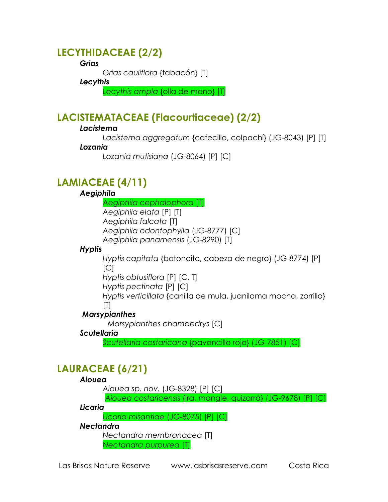## **LECYTHIDACEAE (2/2)**

### *Grias*

*Grias cauliflora* {tabacón} [T]

#### *Lecythis*

*Lecythis ampla* {olla de mono} [T]

## **LACISTEMATACEAE (Flacourtiaceae) (2/2)**

### *Lacistema*

*Lacistema aggregatum* {cafecillo, colpachí} (JG-8043) [P] [T] *Lozania* 

*Lozania mutisiana* (JG-8064) [P] [C]

## **LAMIACEAE (4/11)**

### *Aegiphila*

*Aegiphila cephalophora* [T] *Aegiphila elata* [P] [T] *Aegiphila falcata* [T] *Aegiphila odontophylla* (JG-8777) [C] *Aegiphila panamensis* (JG-8290) [T]

### *Hyptis*

*Hyptis capitata* {botoncito, cabeza de negro} (JG-8774) [P]  $[C]$ 

*Hyptis obtusiflora* [P] [C, T]

*Hyptis pectinata* [P] [C]

*Hyptis verticillata* {canilla de mula, juanilama mocha, zorrillo}  $[T]$ 

### *Marsypianthes*

 *Marsypianthes chamaedrys* [C]

### *Scutellaria*

*Scutellaria costaricana* {pavoncillo rojo} (JG-7851) [C]

## **LAURACEAE (6/21)**

### *Aiouea*

*Aiouea sp. nov.* (JG-8328) [P] [C]

 *Aiouea costaricensis* {ira, mangle, quizarrá} (JG-9678) [P] [C]

### *Licaria*

*Licaria misantlae* (JG-8075) [P] [C]

### *Nectandra*

*Nectandra membranacea* [T] *Nectandra purpurea* [T]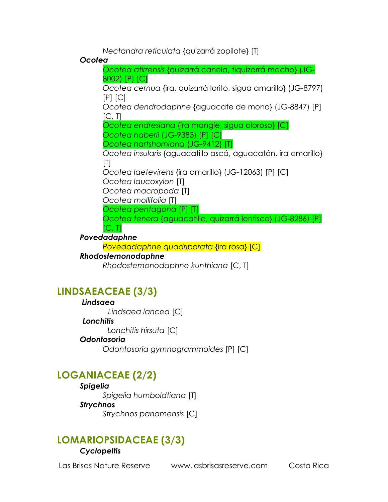*Nectandra reticulata* {quizarrá zopilote} [T]

### *Ocotea*

*Ocotea atirrensis* {quizarrá canela, tiquizarrá macho} (JG-8002) [P] [C] *Ocotea cernua* {ira, quizarrá lorito, sigua amarillo} (JG-8797)  $[P]$   $[C]$ *Ocotea dendrodaphne* {aguacate de mono} (JG-8847) [P]  $[C, T]$ *Ocotea endresiana* {ira mangle, sigua oloroso} [C] *Ocotea haberii* (JG-9383) [P] [C] *Ocotea hartshorniana* (JG-9412) [T] *Ocotea insularis* {aguacatillo ascá, aguacatón, ira amarillo}  $[T]$ *Ocotea laetevirens* {ira amarillo} (JG-12063) [P] [C] *Ocotea laucoxylon* [T] *Ocotea macropoda* [T] *Ocotea mollifolia* [T] *Ocotea pentagona* [P] [T] *Ocotea tenera* {aguacatillo, quizarrá lentisco} (JG-8286) [P]  $[C, T]$ *Povedadaphne*

*Povedadaphne quadriporata* {ira rosa} [C]

### *Rhodostemonodaphne*

*Rhodostemonodaphne kunthiana* [C, T]

## **LINDSAEACEAE (3/3)**

### *Lindsaea*

 *Lindsaea lancea* [C]

### *Lonchitis*

 *Lonchitis hirsuta* [C]

### *Odontosoria*

*Odontosoria gymnogrammoides* [P] [C]

## **LOGANIACEAE (2/2)**

### *Spigelia Spigelia humboldtiana* [T] *Strychnos*

*Strychnos panamensis* [C]

## **LOMARIOPSIDACEAE (3/3)**

### *Cyclopeltis*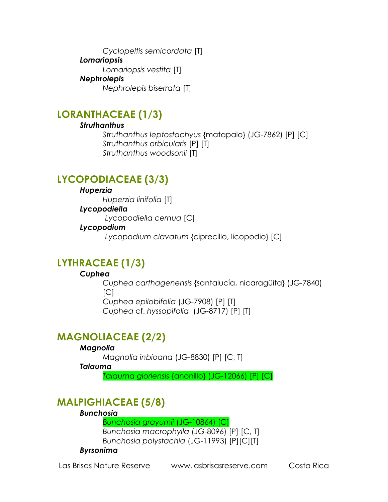*Cyclopeltis semicordata* [T] *Lomariopsis Lomariopsis vestita* [T] *Nephrolepis Nephrolepis biserrata* [T]

## **LORANTHACEAE (1/3)**

### *Struthanthus*

*Struthanthus leptostachyus* {matapalo} (JG-7862) [P] [C] *Struthanthus orbicularis* [P] [T] *Struthanthus woodsonii* [T]

## **LYCOPODIACEAE (3/3)**

### *Huperzia*

*Huperzia linifolia* [T]

### *Lycopodiella*

 *Lycopodiella cernua* [C]

### *Lycopodium*

 *Lycopodium clavatum* {ciprecillo, licopodio} [C]

## **LYTHRACEAE (1/3)**

### *Cuphea*

*Cuphea carthagenensis* {santalucía, nicaragüita} (JG-7840)  $\lceil C \rceil$ *Cuphea epilobifolia* (JG-7908) [P] [T] *Cuphea* cf. *hyssopifolia* (JG-8717) [P] [T]

## **MAGNOLIACEAE (2/2)**

### *Magnolia*

*Magnolia inbioana* (JG-8830) [P] [C, T]

### *Talauma*

*Talauma gloriensis* {anonillo} (JG-12066) [P] [C]

## **MALPIGHIACEAE (5/8)**

### *Bunchosia*

*Bunchosia grayumii* (JG-10864) [C]

*Bunchosia macrophylla* (JG-8096) [P] [C, T] *Bunchosia polystachia* (JG-11993) [P][C][T]

### *Byrsonima*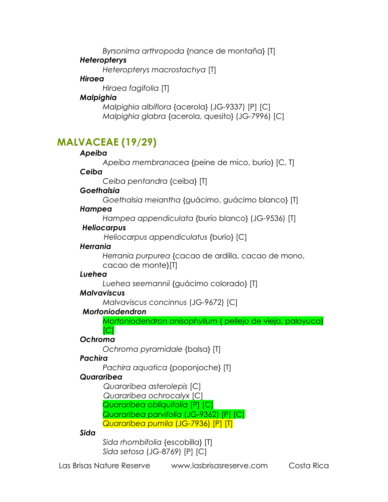*Byrsonima arthropoda* {nance de montaña} [T]

### *Heteropterys*

*Heteropterys macrostachya* [T]

### *Hiraea*

*Hiraea fagifolia* [T]

### *Malpighia*

*Malpighia albiflora* {acerola} (JG-9337) [P] [C] *Malpighia glabra* {acerola, quesito} (JG-7996) [C]

## **MALVACEAE (19/29)**

### *Apeiba*

*Apeiba membranacea* {peine de mico, burío} [C, T]

### *Ceiba*

*Ceiba pentandra* {ceiba} [T]

### *Goethalsia*

*Goethalsia meiantha* {guácimo, guácimo blanco} [T]

### *Hampea*

*Hampea appendiculata* {burío blanco} (JG-9536) [T]

### *Heliocarpus*

 *Heliocarpus appendiculatus* {burío} [C]

### *Herrania*

*Herrania purpurea* {cacao de ardilla, cacao de mono, cacao de monte}[T]

### *Luehea*

*Luehea seemannii* {guácimo colorado} [T]

### *Malvaviscus*

*Malvaviscus concinnus* (JG-9672) [C]

### *Mortoniodendron*

*Mortoniodendron anisophyllum* { pellejo de vieja, paloyuca}  $ICI$ 

### *Ochroma*

*Ochroma pyramidale* {balsa} [T]

### *Pachira*

*Pachira aquatica* {poponjoche} [T]

### *Quararibea*

 *Quararibea asterolepis* [C]  *Quararibea ochrocalyx* [C] *Quararibea obliquifolia* [P] [C] *Quararibea parvifolia* (JG-9362) [P] [C]

*Quararibea pumila* (JG-7936) [P] [T]

## *Sida*

*Sida rhombifolia* {escobilla} [T] *Sida setosa* (JG-8769) [P] [C]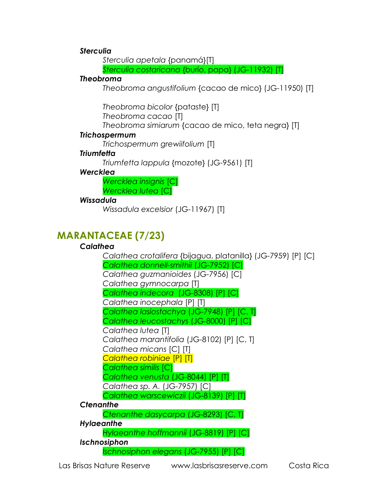#### *Sterculia*

*Sterculia apetala* {panamá}[T]

*Sterculia costaricana* {burío, papa} (JG-11932) [T]

#### *Theobroma*

*Theobroma angustifolium* {cacao de mico} (JG-11950) [T]

*Theobroma bicolor* {pataste} [T]

*Theobroma cacao* [T]

*Theobroma simiarum* {cacao de mico, teta negra} [T]

### *Trichospermum*

*Trichospermum grewiifolium* [T]

### *Triumfetta*

*Triumfetta lappula* {mozote} (JG-9561) [T]

### *Wercklea*

*Wercklea insignis* [C] *Wercklea lutea* [C]

### *Wissadula*

*Wissadula excelsior* (JG-11967) [T]

## **MARANTACEAE (7/23)**

### *Calathea*

*Calathea crotalifera* {bijagua, platanilla} (JG-7959) [P] [C] *Calathea donnell-smithii* (JG-7952) [C] *Calathea guzmanioides* (JG-7956) [C] *Calathea gymnocarpa* [T] *Calathea indecora* (JG-8308) [P] [C] *Calathea inocephala* [P] [T] *Calathea lasiostachya* (JG-7948) [P] [C, T] *Calathea leucostachys* (JG-8000) [P] [C] *Calathea lutea* [T] *Calathea marantifolia* (JG-8102) [P] [C, T] *Calathea micans* [C] [T] *Calathea robiniae* [P] [T] *Calathea similis* [C] *Calathea venusta* (JG-8044) [P] [T] *Calathea sp. A.* (JG-7957) [C] *Calathea warscewiczii* (JG-8139) [P] [T] *Ctenanthe Ctenanthe dasycarpa* (JG-8293) [C, T] *Hylaeanthe Hylaeanthe hoffmannii* (JG-8819) [P] [C] *Ischnosiphon Ischnosiphon elegans* (JG-7955) [P] [C]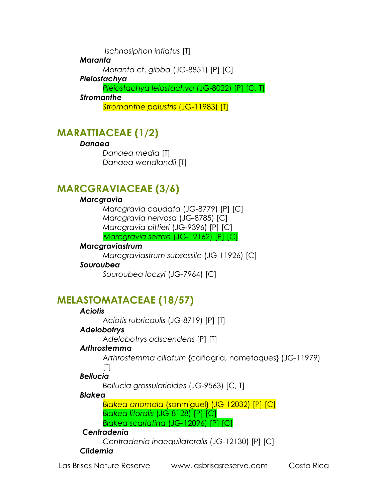*Ischnosiphon inflatus* [T]

### *Maranta*

*Maranta* cf. *gibba* (JG-8851) [P] [C]

### *Pleiostachya*

*Pleiostachya leiostachya* (JG-8022) [P] [C, T]

### *Stromanthe*

*Stromanthe palustris* (JG-11983) [T]

## **MARATTIACEAE (1/2)**

### *Danaea*

*Danaea media* [T] *Danaea wendlandii* [T]

## **MARCGRAVIACEAE (3/6)**

### *Marcgravia*

*Marcgravia caudata* (JG-8779) [P] [C] *Marcgravia nervosa* (JG-8785) [C] *Marcgravia pittieri* (JG-9396) [P] [C]  *Marcgravia serrae* (JG-12162) [P] [C]

### *Marcgraviastrum*

*Marcgraviastrum subsessile* (JG-11926) [C]

### *Souroubea*

*Souroubea loczyi* (JG-7964) [C]

## **MELASTOMATACEAE (18/57)**

### *Aciotis*

*Aciotis rubricaulis* (JG-8719) [P] [T]

### *Adelobotrys*

*Adelobotrys adscendens* [P] [T]

### *Arthrostemma*

*Arthrostemma ciliatum* {cañagria, nometoques} (JG-11979)  $[T]$ 

### *Bellucia*

*Bellucia grossularioides* (JG-9563) [C, T]

### *Blakea*

*Blakea anomala* {sanmiguel} (JG-12032) [P] [C] *Blakea litoralis* (JG-8128) [P] [C] *Blakea scarlatina* (JG-12096) [P] [C]

### *Centradenia*

*Centradenia inaequilateralis* (JG-12130) [P] [C]

### *Clidemia*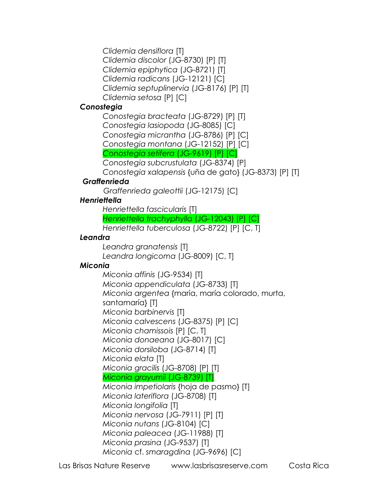*Clidemia densiflora* [T] *Clidemia discolor* (JG-8730) [P] [T] *Clidemia epiphytica* (JG-8721) [T] *Clidemia radicans* (JG-12121) [C] *Clidemia septuplinervia* (JG-8176) [P] [T] *Clidemia setosa* [P] [C]

#### *Conostegia*

*Conostegia bracteata* (JG-8729) [P] [T] *Conostegia lasiopoda* (JG-8085) [C] *Conostegia micrantha* (JG-8786) [P] [C] *Conostegia montana* (JG-12152) [P] [C] *Conostegia setifera* (JG-9619) [P] [C] *Conostegia subcrustulata* (JG-8374) [P] *Conostegia xalapensis* {uña de gato} (JG-8373) [P] [T]

### *Graffenrieda*

 *Graffenrieda galeottii* (JG-12175) [C]

### *Henriettella*

*Henriettella fascicularis* [T] *Henriettella trachyphylla* (JG-12043) [P] [C] *Henriettella tuberculosa* (JG-8722) [P] [C, T]

### *Leandra*

*Leandra granatensis* [T] *Leandra longicoma* (JG-8009) [C, T]

### *Miconia*

*Miconia affinis* (JG-9534) [T] *Miconia appendiculata* (JG-8733) [T] *Miconia argentea* {maría, maría colorado, murta, santamaría} [T] *Miconia barbinervis* [T] *Miconia calvescens* (JG-8375) [P] [C] *Miconia chamissois* [P] [C, T] *Miconia donaeana* (JG-8017) [C] *Miconia dorsiloba* (JG-8714) [T] *Miconia elata* [T] *Miconia gracilis* (JG-8708) [P] [T] *Miconia grayumii* (JG-8739) [T] *Miconia impetiolaris* {hoja de pasmo} [T] *Miconia lateriflora* (JG-8708) [T] *Miconia longifolia* [T] *Miconia nervosa* (JG-7911) [P] [T] *Miconia nutans* (JG-8104) [C] *Miconia paleacea* (JG-11988) [T] *Miconia prasina* (JG-9537) [T] *Miconia* cf. *smaragdina* (JG-9696) [C]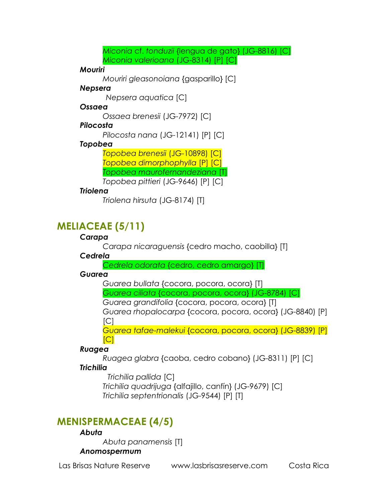*Miconia* cf. *tonduzii* {lengua de gato} (JG-8816) [C] *Miconia valerioana* (JG-8314) [P] [C]

#### *Mouriri*

*Mouriri gleasonoiana* {gasparillo} [C]

#### *Nepsera*

 *Nepsera aquatica* [C]

#### *Ossaea*

*Ossaea brenesii* (JG-7972) [C]

### *Pilocosta*

*Pilocosta nana* (JG-12141) [P] [C]

### *Topobea*

*Topobea brenesii* (JG-10898) [C] *Topobea dimorphophylla* [P] [C] *Topobea maurofernandeziana* [T]

### *Topobea pittieri* (JG-9646) [P] [C]

### *Triolena*

*Triolena hirsuta* (JG-8174) [T]

## **MELIACEAE (5/11)**

### *Carapa*

*Carapa nicaraguensis* {cedro macho, caobilla} [T]

### *Cedrela*

*Cedrela odorata* {cedro, cedro amargo} [T]

### *Guarea*

*Guarea bullata* {cocora, pocora, ocora} [T]

*Guarea ciliata* {cocora, pocora, ocora} (JG-8784) [C]

*Guarea grandifolia* {cocora, pocora, ocora} [T] *Guarea rhopalocarpa* {cocora, pocora, ocora} (JG-8840) [P]

### $|C|$

*Guarea tafae-malekui* {cocora, pocora, ocora} (JG-8839) [P] [C]

### *Ruagea*

*Ruagea glabra* {caoba, cedro cobano} (JG-8311) [P] [C]

### *Trichilia*

 *Trichilia pallida* [C] *Trichilia quadrijuga* {alfajillo, canfín} (JG-9679) [C] *Trichilia septentrionalis* (JG-9544) [P] [T]

## **MENISPERMACEAE (4/5)**

### *Abuta*

*Abuta panamensis* [T]

### *Anomospermum*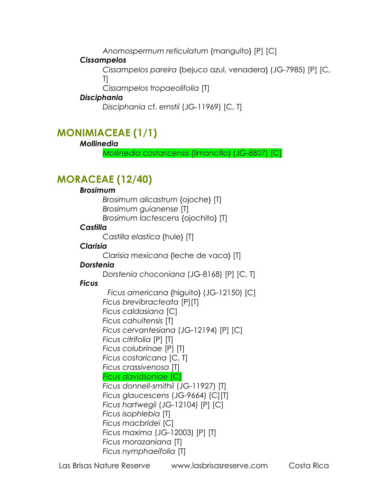*Anomospermum reticulatum* {manguito} [P] [C]

### *Cissampelos*

*Cissampelos pareira* {bejuco azul, venadera} (JG-7985) [P] [C, T]

*Cissampelos tropaeolifolia* [T]

### *Disciphania*

*Disciphania* cf. *ernstii* (JG-11969) [C, T]

## **MONIMIACEAE (1/1)**

### *Mollinedia*

*Mollinedia costaricensis* {limoncillo} (JG-8807) [C]

## **MORACEAE (12/40)**

### *Brosimum*

*Brosimum alicastrum* {ojoche} [T] *Brosimum guianense* [T] *Brosimum lactescens* {ojochito} [T]

### *Castilla*

*Castilla elastica* {hule} [T]

### *Clarisia*

*Clarisia mexicana* {leche de vaca} [T]

### *Dorstenia*

*Dorstenia choconiana* (JG-8168) [P] [C, T]

### *Ficus*

 *Ficus americana* {higuito} (JG-12150) [C] *Ficus brevibracteata* [P][T] *Ficus caldasiana* [C] *Ficus cahuitensis* [T] *Ficus cervantesiana* (JG-12194) [P] [C] *Ficus citrifolia* [P] [T] *Ficus colubrinae* [P] [T] *Ficus costaricana* [C, T] *Ficus crassivenosa* [T] *Ficus davidsoniae* [C] *Ficus donnell-smithii* (JG-11927) [T] *Ficus glaucescens* (JG-9664) [C][T] *Ficus hartwegii* (JG-12104) [P] [C] *Ficus isophlebia* [T] *Ficus macbridei* [C] *Ficus maxima* (JG-12003) [P] [T] *Ficus morazaniana* [T] *Ficus nymphaeifolia* [T]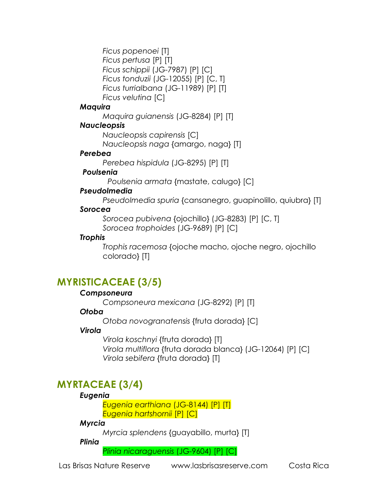*Ficus popenoei* [T] *Ficus pertusa* [P] [T] *Ficus schippii* (JG-7987) [P] [C] *Ficus tonduzii* (JG-12055) [P] [C, T] *Ficus turrialbana* (JG-11989) [P] [T] *Ficus velutina* [C]

#### *Maquira*

*Maquira guianensis* (JG-8284) [P] [T]

### *Naucleopsis*

*Naucleopsis capirensis* [C] *Naucleopsis naga* {amargo, naga} [T]

### *Perebea*

*Perebea hispidula* (JG-8295) [P] [T]

### *Poulsenia*

 *Poulsenia armata* {mastate, calugo} [C]

### *Pseudolmedia*

*Pseudolmedia spuria* {cansanegro, guapinolillo, quiubra} [T]

### *Sorocea*

*Sorocea pubivena* {ojochillo} (JG-8283) [P] [C, T] *Sorocea trophoides* (JG-9689) [P] [C]

### *Trophis*

*Trophis racemosa* {ojoche macho, ojoche negro, ojochillo colorado} [T]

## **MYRISTICACEAE (3/5)**

### *Compsoneura*

*Compsoneura mexicana* (JG-8292) [P] [T]

### *Otoba*

*Otoba novogranatensis* {fruta dorada} [C]

### *Virola*

*Virola koschnyi* {fruta dorada} [T] *Virola multiflora* {fruta dorada blanca} (JG-12064) [P] [C] *Virola sebifera* {fruta dorada} [T]

## **MYRTACEAE (3/4)**

### *Eugenia*

*Eugenia earthiana* (JG-8144) [P] [T] *Eugenia hartshornii* [P] [C]

### *Myrcia*

*Myrcia splendens* {guayabillo, murta} [T]

*Plinia*

*Plinia nicaraguensis* (JG-9604) [P] [C]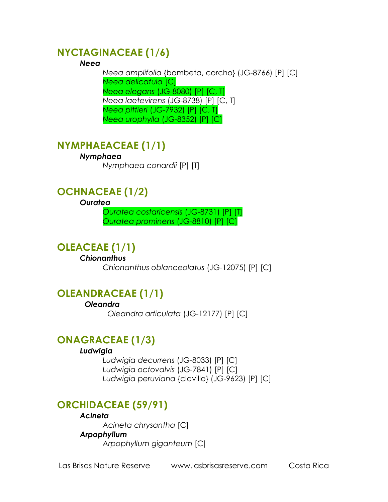### **NYCTAGINACEAE (1/6)**

#### *Neea*

*Neea amplifolia* {bombeta, corcho} (JG-8766) [P] [C] *Neea delicatula* [C] *Neea elegans* (JG-8080) [P] [C, T] *Neea laetevirens* (JG-8738) [P] [C, T] *Neea pittieri* (JG-7932) [P] [C, T] *Neea urophylla* (JG-8352) [P] [C]

## **NYMPHAEACEAE (1/1)**

#### *Nymphaea*

*Nymphaea conardii* [P] [T]

## **OCHNACEAE (1/2)**

#### *Ouratea*

*Ouratea costaricensis* (JG-8731) [P] [T] *Ouratea prominens* (JG-8810) [P] [C]

### **OLEACEAE (1/1)**

*Chionanthus Chionanthus oblanceolatus* (JG-12075) [P] [C]

### **OLEANDRACEAE (1/1)**

 *Oleandra* 

 *Oleandra articulata* (JG-12177) [P] [C]

### **ONAGRACEAE (1/3)**

#### *Ludwigia*

*Ludwigia decurrens* (JG-8033) [P] [C] *Ludwigia octovalvis* (JG-7841) [P] [C] *Ludwigia peruviana* {clavillo} (JG-9623) [P] [C]

## **ORCHIDACEAE (59/91)**

#### *Acineta*

*Acineta chrysantha* [C] *Arpophyllum Arpophyllum giganteum* [C]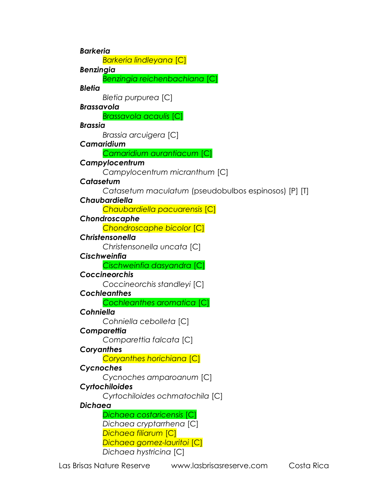*Barkeria Barkeria lindleyana* [C] *Benzingia Benzingia reichenbachiana* [C] *Bletia Bletia purpurea* [C] *Brassavola Brassavola acaulis* [C] *Brassia Brassia arcuigera* [C] *Camaridium Camaridium aurantiacum* [C] *Campylocentrum Campylocentrum micranthum* [C] *Catasetum Catasetum maculatum* (pseudobulbos espinosos) [P] [T] *Chaubardiella Chaubardiella pacuarensis* [C] *Chondroscaphe Chondroscaphe bicolor* [C] *Christensonella Christensonella uncata* [C] *Cischweinfia Cischweinfia dasyandra* [C] *Coccineorchis Coccineorchis standleyi* [C] *Cochleanthes Cochleanthes aromatica* [C] *Cohniella Cohniella cebolleta* [C] *Comparettia Comparettia falcata* [C] *Coryanthes Coryanthes horichiana* [C] *Cycnoches Cycnoches amparoanum* [C] *Cyrtochiloides Cyrtochiloides ochmatochila* [C] *Dichaea Dichaea costaricensis* [C] *Dichaea cryptarrhena* [C] *Dichaea filiarum* [C] *Dichaea gomez-lauritoi* [C] *Dichaea hystricina* [C]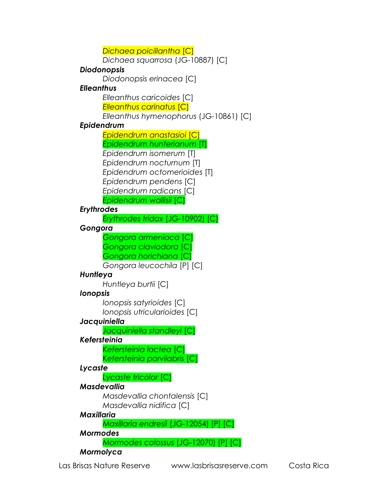*Dichaea poicillantha* [C] *Dichaea squarrosa* (JG-10887) [C] *Diodonopsis Diodonopsis erinacea* [C] *Elleanthus Elleanthus caricoides* [C] *Elleanthus carinatus* [C] *Elleanthus hymenophorus* (JG-10861) [C] *Epidendrum Epidendrum anastasioi* [C] *Epidendrum hunterianum* [T] *Epidendrum isomerum* [T] *Epidendrum nocturnum* [T] *Epidendrum octomerioides* [T] *Epidendrum pendens* [C] *Epidendrum radicans* [C] *Epidendrum wallisii* [C] *Erythrodes Erythrodes tridax* (JG-10902) [C] *Gongora Gongora armeniaca* [C] *Gongora claviodora* [C] *Gongora horichiana* [C] *Gongora leucochila* [P] [C] *Huntleya Huntleya burtii* [C] *Ionopsis Ionopsis satyrioides* [C] *Ionopsis utricularioides* [C] *Jacquiniella Jacquiniella standleyi* [C] *Kefersteinia Kefersteinia lactea* [C] *Kefersteinia parvilabris* [C] *Lycaste Lycaste tricolor* [C] *Masdevallia Masdevallia chontalensis* [C] *Masdevallia nidifica* [C] *Maxillaria Maxillaria endresii* (JG-12054) [P] [C] *Mormodes Mormodes colossus* (JG-12070) [P] [C] *Mormolyca*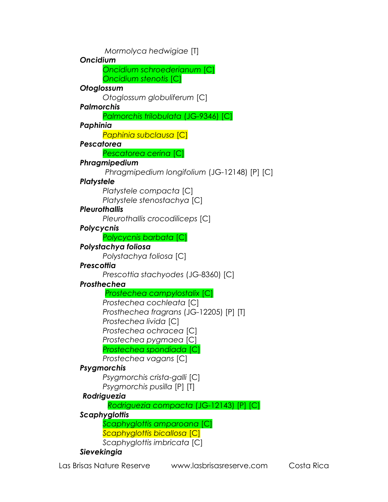*Mormolyca hedwigiae* [T] *Oncidium Oncidium schroederianum* [C] *Oncidium stenotis* [C] *Otoglossum Otoglossum globuliferum* [C] *Palmorchis Palmorchis trilobulata* (JG-9346) [C] *Paphinia Paphinia subclausa* [C] *Pescatorea Pescatorea cerina* [C] *Phragmipedium Phragmipedium longifolium* (JG-12148) [P] [C] *Platystele Platystele compacta* [C] *Platystele stenostachya* [C] *Pleurothallis Pleurothallis crocodiliceps* [C] *Polycycnis Polycycnis barbata* [C] *Polystachya foliosa Polystachya foliosa* [C] *Prescottia Prescottia stachyodes* (JG-8360) [C] *Prosthechea Prostechea campylostalix* [C] *Prostechea cochleata* [C] *Prosthechea fragrans* (JG-12205) [P] [T] *Prostechea livida* [C] *Prostechea ochracea* [C] *Prostechea pygmaea* [C] *Prostechea spondiada* [C] *Prostechea vagans* [C] *Psygmorchis Psygmorchis crista-galli* [C] *Psygmorchis pusilla* [P] [T]  *Rodriguezia Rodriguezia compacta* (JG-12143) [P] [C] *Scaphyglottis Scaphyglottis amparoana* [C] *Scaphyglottis bicallosa* [C] *Scaphyglottis imbricata* [C] *Sievekingia*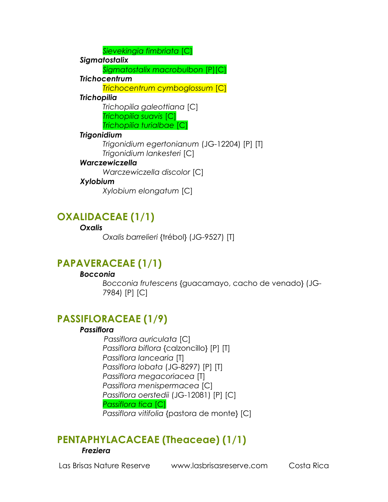*Sievekingia fimbriata* [C]

*Sigmatostalix*

*Sigmatostalix macrobulbon* [P][C]

*Trichocentrum* 

*Trichocentrum cymboglossum* [C]

### *Trichopilia*

*Trichopilia galeottiana* [C] *Trichopilia suavis* [C] *Trichopilia turialbae* [C]

### *Trigonidium*

*Trigonidium egertonianum* (JG-12204) [P] [T] *Trigonidium lankesteri* [C]

### *Warczewiczella*

*Warczewiczella discolor* [C]

### *Xylobium*

*Xylobium elongatum* [C]

## **OXALIDACEAE (1/1)**

### *Oxalis*

*Oxalis barrelieri* {trébol} (JG-9527) [T]

## **PAPAVERACEAE (1/1)**

### *Bocconia*

*Bocconia frutescens* {guacamayo, cacho de venado} (JG-7984) [P] [C]

## **PASSIFLORACEAE (1/9)**

### *Passiflora*

 *Passiflora auriculata* [C] *Passiflora biflora* {calzoncillo} [P] [T] *Passiflora lancearia* [T] *Passiflora lobata* (JG-8297) [P] [T] *Passiflora megacoriacea* [T] *Passiflora menispermacea* [C] *Passiflora oerstedii* (JG-12081) [P] [C] *Passiflora tica* [C] *Passiflora vitifolia* {pastora de monte} [C]

# **PENTAPHYLACACEAE (Theaceae) (1/1)** *Freziera*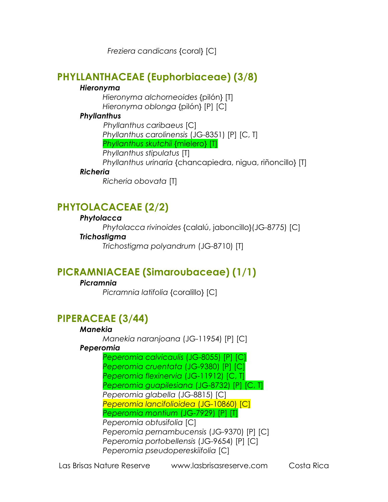*Freziera candicans* {coral} [C]

## **PHYLLANTHACEAE (Euphorbiaceae) (3/8)**

### *Hieronyma*

*Hieronyma alchorneoides* {pilón} [T] *Hieronyma oblonga* {pilón} [P] [C]

### *Phyllanthus*

 *Phyllanthus caribaeus* [C] *Phyllanthus carolinensis* (JG-8351) [P] [C, T] *Phyllanthus skutchii* {mielero} [T] *Phyllanthus stipulatus* [T] *Phyllanthus urinaria* {chancapiedra, nigua, riñoncillo} [T]

### *Richeria*

*Richeria obovata* [T]

## **PHYTOLACACEAE (2/2)**

### *Phytolacca*

*Phytolacca rivinoides* {calalú, jaboncillo}(JG-8775) [C]

### *Trichostigma*

*Trichostigma polyandrum* (JG-8710) [T]

## **PICRAMNIACEAE (Simaroubaceae) (1/1)**

### *Picramnia*

*Picramnia latifolia* {coralillo} [C]

## **PIPERACEAE (3/44)**

### *Manekia*

*Manekia naranjoana* (JG-11954) [P] [C]

### *Peperomia*

*Peperomia calvicaulis* (JG-8055) [P] [C] *Peperomia cruentata* (JG-9380) [P] [C] *Peperomia flexinervia* (JG-11912) [C, T] *Peperomia guapilesiana* (JG-8732) [P] [C, T] *Peperomia glabella* (JG-8815) [C] *Peperomia lancifolioidea* (JG-10860) [C] *Peperomia montium* (JG-7929) [P] [T] *Peperomia obtusifolia* [C] *Peperomia pernambucensis* (JG-9370) [P] [C] *Peperomia portobellensis* (JG-9654) [P] [C] *Peperomia pseudopereskiifolia* [C]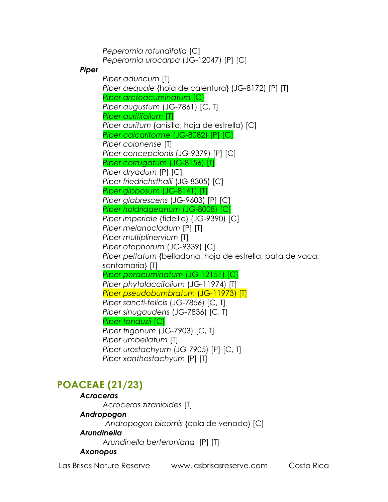*Peperomia rotundifolia* [C] *Peperomia urocarpa* (JG-12047) [P] [C]

#### *Piper*

*Piper aduncum* [T] *Piper aequale* {hoja de calentura} (JG-8172) [P] [T] *Piper arcteacuminatum* [C] *Piper augustum* (JG-7861) [C, T] *Piper auritifolium* [T] *Piper auritum* {anisillo, hoja de estrella} [C] *Piper calcariforme* (JG-8082) [P] [C] *Piper colonense* [T] *Piper concepcionis* (JG-9379) [P] [C] *Piper corrugatum* (JG-8156) [T] *Piper dryadum* [P] [C] *Piper friedrichsthalii* (JG-8305) [C] *Piper gibbosum* (JG-8141) [T] *Piper glabrescens* (JG-9603) [P] [C] *Piper holdridgeanum* (JG-8008) [C] *Piper imperiale* {fideillo} (JG-9390) [C] *Piper melanocladum* [P] [T] *Piper multiplinervium* [T] *Piper otophorum* (JG-9339) [C] *Piper peltatum* {belladona, hoja de estrella, pata de vaca, santamaría} [T] *Piper peracuminatum* (JG-12151) [C] *Piper phytolaccifolium* (JG-11974) [T] *Piper pseudobumbratum* (JG-11973) [T] *Piper sancti-felicis* (JG-7856) [C, T] *Piper sinugaudens* (JG-7836) [C, T] *Piper tonduzii* [C] *Piper trigonum* (JG-7903) [C, T] *Piper umbellatum* [T] *Piper urostachyum* (JG-7905) [P] [C, T] *Piper xanthostachyum* [P] [T]

## **POACEAE (21/23)**

### *Acroceras Acroceras zizanioides* [T] *Andropogon Andropogon bicornis* {cola de venado} [C] *Arundinella Arundinella berteroniana* [P] [T]

#### *Axonopus*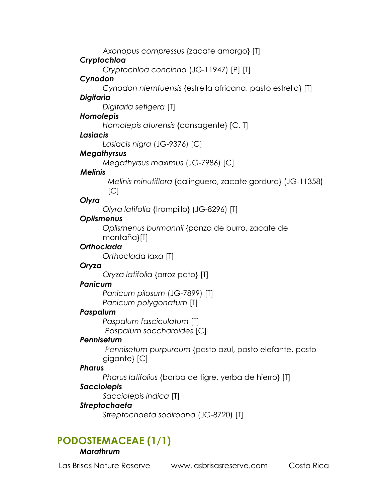*Axonopus compressus* {zacate amargo} [T]

### *Cryptochloa*

*Cryptochloa concinna* (JG-11947) [P] [T]

### *Cynodon*

 *Cynodon nlemfuensis* {estrella africana, pasto estrella} [T]

### *Digitaria*

*Digitaria setigera* [T]

### *Homolepis*

*Homolepis aturensis* {cansagente} [C, T]

### *Lasiacis*

*Lasiacis nigra* (JG-9376) [C]

### *Megathyrsus*

*Megathyrsus maximus* (JG-7986) [C]

### *Melinis*

*Melinis minutiflora* {calinguero, zacate gordura} (JG-11358)  $|C|$ 

### *Olyra*

*Olyra latifolia* {trompillo} (JG-8296) [T]

### *Oplismenus*

*Oplismenus burmannii* {panza de burro, zacate de montaña}[T]

### *Orthoclada*

*Orthoclada laxa* [T]

### *Oryza*

*Oryza latifolia* {arroz pato} [T]

### *Panicum*

*Panicum pilosum* (JG-7899) [T] *Panicum polygonatum* [T]

### *Paspalum*

*Paspalum fasciculatum* [T]  *Paspalum saccharoides* [C]

### *Pennisetum*

*Pennisetum purpureum* {pasto azul, pasto elefante, pasto gigante} [C]

### *Pharus*

*Pharus latifolius* {barba de tigre, yerba de hierro} [T]

### *Sacciolepis*

*Sacciolepis indica* [T]

### *Streptochaeta*

*Streptochaeta sodiroana* (JG-8720) [T]

## **PODOSTEMACEAE (1/1)**

### *Marathrum*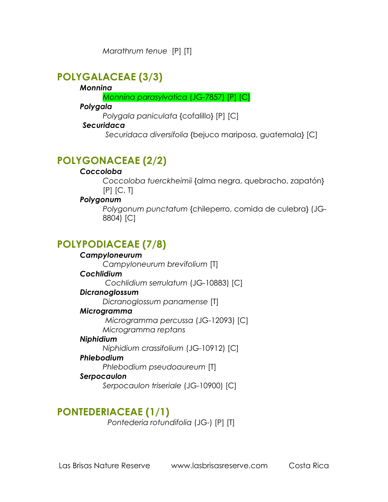*Marathrum tenue* [P] [T]

## **POLYGALACEAE (3/3)**

#### *Monnina*

*Monnina parasylvatica* (JG-7857) [P] [C]

#### *Polygala*

*Polygala paniculata* {cofalillo} [P] [C]

### *Securidaca*

 *Securidaca diversifolia* {bejuco mariposa, guatemala} [C]

## **POLYGONACEAE (2/2)**

### *Coccoloba*

*Coccoloba tuerckheimii* {alma negra, quebracho, zapatón} [P] [C, T]

### *Polygonum*

*Polygonum punctatum* {chileperro, comida de culebra} (JG-8804) [C]

## **POLYPODIACEAE (7/8)**

### *Campyloneurum*

*Campyloneurum brevifolium* [T]

### *Cochlidium*

 *Cochlidium serrulatum* (JG-10883) [C]

### *Dicranoglossum*

*Dicranoglossum panamense* [T]

### *Microgramma*

 *Microgramma percussa* (JG-12093) [C] *Microgramma reptans*

### *Niphidium*

*Niphidium crassifolium* (JG-10912) [C]

### *Phlebodium*

*Phlebodium pseudoaureum* [T]

### *Serpocaulon*

*Serpocaulon triseriale* (JG-10900) [C]

## **PONTEDERIACEAE (1/1)**

 *Pontederia rotundifolia* (JG-) [P] [T]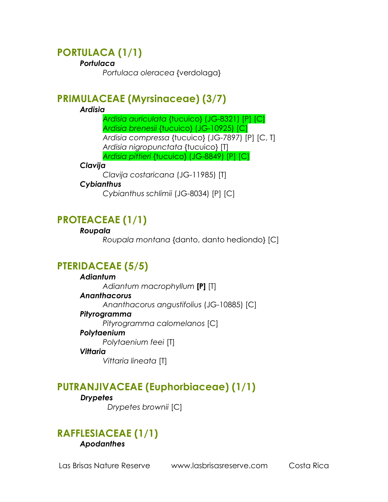## **PORTULACA (1/1)**

#### *Portulaca*

*Portulaca oleracea* {verdolaga}

### **PRIMULACEAE (Myrsinaceae) (3/7)**

#### *Ardisia*

*Ardisia auriculata* {tucuico} (JG-8321) [P] [C] *Ardisia brenesii* {tucuico} (JG-10925) [C] *Ardisia compressa* {tucuico} (JG-7897) [P] [C, T] *Ardisia nigropunctata* {tucuico} [T] *Ardisia pittieri* {tucuico} (JG-8849) [P] [C]

#### *Clavija*

*Clavija costaricana* (JG-11985) [T]

### *Cybianthus*

*Cybianthus schlimii* (JG-8034) [P] [C]

## **PROTEACEAE (1/1)**

### *Roupala*

*Roupala montana* {danto, danto hediondo} [C]

## **PTERIDACEAE (5/5)**

### *Adiantum*

*Adiantum macrophyllum* **[P]** [T] *Ananthacorus Ananthacorus angustifolius* (JG-10885) [C] *Pityrogramma Pityrogramma calomelanos* [C] *Polytaenium Polytaenium feei* [T] *Vittaria Vittaria lineata* [T]

## **PUTRANJIVACEAE (Euphorbiaceae) (1/1)**

## *Drypetes*

 *Drypetes brownii* [C]

### **RAFFLESIACEAE (1/1)** *Apodanthes*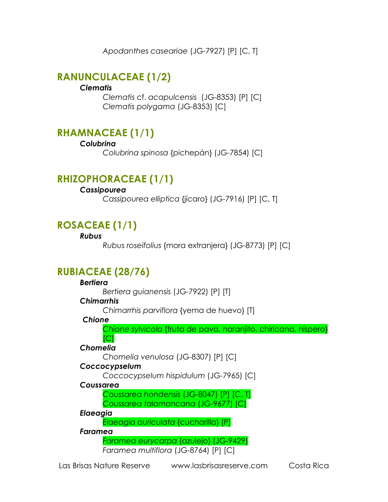*Apodanthes caseariae* (JG-7927) [P] [C, T]

## **RANUNCULACEAE (1/2)**

### *Clematis*

*Clematis* cf. *acapulcensis* (JG-8353) [P] [C] *Clematis polygama* (JG-8353) [C]

## **RHAMNACEAE (1/1)**

#### *Colubrina*

*Colubrina spinosa* {pichepán} (JG-7854) [C]

## **RHIZOPHORACEAE (1/1)**

### *Cassipourea*

*Cassipourea elliptica* {jícaro} (JG-7916) [P] [C, T]

## **ROSACEAE (1/1)**

#### *Rubus*

*Rubus roseifolius* {mora extranjera} (JG-8773) [P] [C]

## **RUBIACEAE (28/76)**

### *Bertiera*

*Bertiera guianensis* (JG-7922) [P] [T]

### *Chimarrhis*

*Chimarrhis parviflora* {yema de huevo} [T]

### *Chione*

*Chione sylvicola* {fruta de pava, naranjito, chiricana, níspero}

### *Chomelia*

*Chomelia venulosa* (JG-8307) [P] [C]

### *Coccocypselum*

 $|C|$ 

*Coccocypselum hispidulum* (JG-7965) [C]

### *Coussarea*

*Coussarea hondensis* (JG-8047) [P] [C, T] *Coussarea talamancana* (JG-9677) [C]

### *Elaeagia*

*Elaeagia auriculata* {cucharilla} [P]

### *Faramea*

*Faramea eurycarpa* {azulejo} (JG-9429) *Faramea multiflora* (JG-8764) [P] [C]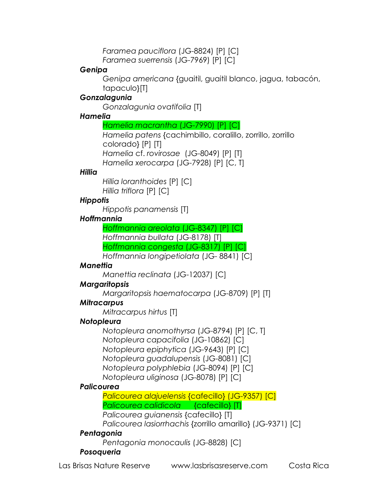*Faramea pauciflora* (JG-8824) [P] [C] *Faramea suerrensis* (JG-7969) [P] [C]

#### *Genipa*

*Genipa americana* {guaitil, guaitil blanco, jagua, tabacón, tapaculo}[T]

#### *Gonzalagunia*

*Gonzalagunia ovatifolia* [T]

#### *Hamelia*

#### *Hamelia macrantha* (JG-7990) [P] [C]

*Hamelia patens* {cachimbillo, coralillo, zorrillo, zorrillo colorado} [P] [T] *Hamelia* cf. *rovirosae* (JG-8049) [P] [T] *Hamelia xerocarpa* (JG-7928) [P] [C, T]

#### *Hillia*

*Hillia loranthoides* [P] [C] *Hillia triflora* [P] [C]

#### *Hippotis*

*Hippotis panamensis* [T]

#### *Hoffmannia*

*Hoffmannia areolata* (JG-8347) [P] [C] *Hoffmannia bullata* (JG-8178) [T] *Hoffmannia congesta* (JG-8317) [P] [C]

*Hoffmannia longipetiolata* (JG- 8841) [C]

#### *Manettia*

*Manettia reclinata* (JG-12037) [C]

#### *Margaritopsis*

#### *Margaritopsis haematocarpa* (JG-8709) [P] [T]

#### *Mitracarpus*

*Mitracarpus hirtus* [T]

#### *Notopleura*

*Notopleura anomothyrsa* (JG-8794) [P] [C, T] *Notopleura capacifolia* (JG-10862) [C] *Notopleura epiphytica* (JG-9643) [P] [C] *Notopleura guadalupensis* (JG-8081) [C] *Notopleura polyphlebia* (JG-8094) [P] [C] *Notopleura uliginosa* (JG-8078) [P] [C]

#### *Palicourea*

*Palicourea alajuelensis* {cafecillo} (JG-9357) [C] *Palicourea calidicola* {cafecillo} [T]

*Palicourea guianensis* {cafecillo} [T]

*Palicourea lasiorrhachis* {zorrillo amarillo} (JG-9371) [C]

#### *Pentagonia*

*Pentagonia monocaulis* (JG-8828) [C]

#### *Posoqueria*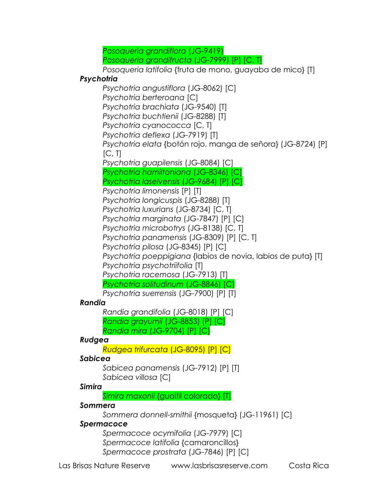*Posoqueria grandiflora* (JG-9419)

*Posoqueria grandifructa* (JG-7999) [P] [C, T]

*Posoqueria latifolia* {fruta de mono, guayaba de mico} [T]

### *Psychotria*

*Psychotria angustiflora* (JG-8062) [C] *Psychotria berteroana* [C] *Psychotria brachiata* (JG-9540) [T] *Psychotria buchtienii* (JG-8288) [T] *Psychotria cyanococca* [C, T] *Psychotria deflexa* (JG-7919) [T] *Psychotria elata* {botón rojo, manga de señora} (JG-8724) [P]  $[C, T]$ *Psychotria guapilensis* (JG-8084) [C] *Psychotria hamiltoniana* (JG-8346) [C] *Psychotria laselvensis* (JG-9684) [P] [C] *Psychotria limonensis* [P] [T] *Psychotria longicuspis* (JG-8288) [T] *Psychotria luxurians* (JG-8734) [C, T] *Psychotria marginata* (JG-7847) [P] [C] *Psychotria microbotrys* (JG-8138) [C, T] *Psychotria panamensis* (JG-8309) [P] [C, T] *Psychotria pilosa* (JG-8345) [P] [C] *Psychotria poeppigiana* {labios de novia, labios de puta} [T] *Psychotria psychotriifolia* [T] *Psychotria racemosa* (JG-7913) [T] *Psychotria solitudinum* (JG-8846) [C] *Psychotria suerrensis* (JG-7900) [P] [T]

### *Randia*

*Randia grandifolia* (JG-8018) [P] [C] *Randia grayumii* (JG-8853) [P] [C] *Randia mira* (JG-9704) [P] [C]

### *Rudgea*

*Rudgea trifurcata* (JG-8095) [P] [C]

### *Sabicea*

*Sabicea panamensis* (JG-7912) [P] [T] *Sabicea villosa* [C]

### *Simira*

*Simira maxonii* {guaitil colorado} [T]

### *Sommera*

*Sommera donnell-smithii* {mosqueta} (JG-11961) [C]

### *Spermacoce*

*Spermacoce ocymifolia* (JG-7979) [C] *Spermacoce latifolia* {camaroncillos} *Spermacoce prostrata* (JG-7846) [P] [C]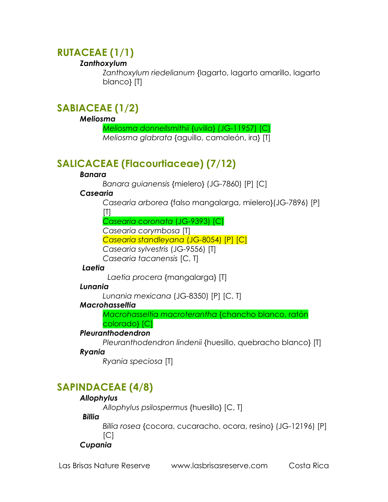## **RUTACEAE (1/1)**

### *Zanthoxylum*

*Zanthoxylum riedelianum* {lagarto, lagarto amarillo, lagarto blanco} [T]

## **SABIACEAE (1/2)**

#### *Meliosma*

*Meliosma donnellsmithii* {uvilla} (JG-11957) [C] *Meliosma glabrata* {aguillo, camaleón, ira} [T]

## **SALICACEAE (Flacourtiaceae) (7/12)**

### *Banara*

*Banara guianensis* {mielero} (JG-7860) [P] [C]

### *Casearia*

*Casearia arborea* {falso mangalarga, mielero}(JG-7896) [P]

 $[T]$ 

*Casearia coronata* (JG-9393) [C]

*Casearia corymbosa* [T]

*Casearia standleyana* (JG-8054) [P] [C]

*Casearia sylvestris* (JG-9556) [T]

*Casearia tacanensis* [C, T]

### *Laetia*

 *Laetia procera* {mangalarga} [T]

### *Lunania*

*Lunania mexicana* (JG-8350) [P] [C, T]

### *Macrohasseltia*

*Macrohasseltia macroterantha* {chancho blanco, ratón colorado} [C]

### *Pleuranthodendron*

*Pleuranthodendron lindenii* {huesillo, quebracho blanco} [T]

### *Ryania*

*Ryania speciosa* [T]

## **SAPINDACEAE (4/8)**

### *Allophylus*

*Allophylus psilospermus* {huesillo} [C, T]

 *Billia* 

*Billia rosea* {cocora, cucaracho, ocora, resino} (JG-12196) [P]  $|C|$ 

### *Cupania*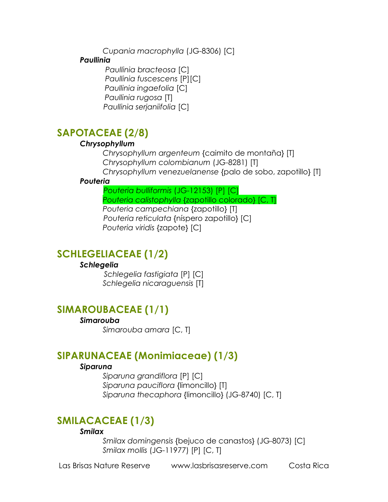*Cupania macrophylla* (JG-8306) [C]

#### *Paullinia*

 *Paullinia bracteosa* [C]  *Paullinia fuscescens* [P][C] *Paullinia ingaefolia* [C] *Paullinia rugosa* [T]  *Paullinia serjaniifolia* [C]

## **SAPOTACEAE (2/8)**

#### *Chrysophyllum*

*Chrysophyllum argenteum* {caimito de montaña} [T] *Chrysophyllum colombianum* (JG-8281) [T] *Chrysophyllum venezuelanense* {palo de sobo, zapotillo} [T]

#### *Pouteria*

 *Pouteria bulliformis* (JG-12153) [P] [C] *Pouteria calistophylla* {zapotillo colorado} [C, T] *Pouteria campechiana* {zapotillo} [T]  *Pouteria reticulata* {níspero zapotillo} [C] *Pouteria viridis* {zapote} [C]

### **SCHLEGELIACEAE (1/2)**

#### *Schlegelia*

 *Schlegelia fastigiata* [P] [C] *Schlegelia nicaraguensis* [T]

### **SIMAROUBACEAE (1/1)**

#### *Simarouba*

*Simarouba amara* [C, T]

### **SIPARUNACEAE (Monimiaceae) (1/3)**

#### *Siparuna*

*Siparuna grandiflora* [P] [C] *Siparuna pauciflora* {limoncillo} [T] *Siparuna thecaphora* {limoncillo} (JG-8740) [C, T]

### **SMILACACEAE (1/3)**

#### *Smilax*

*Smilax domingensis* {bejuco de canastos} (JG-8073) [C] *Smilax mollis* (JG-11977) [P] [C, T]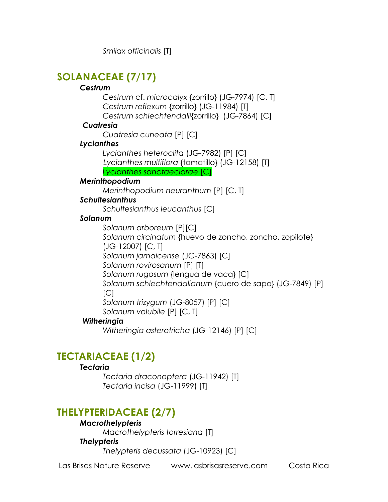*Smilax officinalis* [T]

## **SOLANACEAE (7/17)**

### *Cestrum*

*Cestrum* cf. *microcalyx* {zorrillo} (JG-7974) [C, T] *Cestrum reflexum* {zorrillo} (JG-11984) [T] *Cestrum schlechtendalii*{zorrillo} (JG-7864) [C]

### *Cuatresia*

*Cuatresia cuneata* [P] [C]

### *Lycianthes*

*Lycianthes heteroclita* (JG-7982) [P] [C]  *Lycianthes multiflora* {tomatillo} (JG-12158) [T] *Lycianthes sanctaeclarae* [C]

### *Merinthopodium*

*Merinthopodium neuranthum* [P] [C, T]

### *Schultesianthus*

*Schultesianthus leucanthus* [C]

### *Solanum*

*Solanum arboreum* [P][C] *Solanum circinatum* {huevo de zoncho, zoncho, zopilote} (JG-12007) [C, T] *Solanum jamaicense* (JG-7863) [C] *Solanum rovirosanum* [P] [T] *Solanum rugosum* {lengua de vaca} [C] *Solanum schlechtendalianum* {cuero de sapo} (JG-7849) [P]  $[CI]$ *Solanum trizygum* (JG-8057) [P] [C] *Solanum volubile* [P] [C, T]

### *Witheringia*

*Witheringia asterotricha* (JG-12146) [P] [C]

## **TECTARIACEAE (1/2)**

### *Tectaria*

*Tectaria draconoptera* (JG-11942) [T] *Tectaria incisa* (JG-11999) [T]

## **THELYPTERIDACEAE (2/7)**

### *Macrothelypteris*

*Macrothelypteris torresiana* [T]

### *Thelypteris*

*Thelypteris decussata* (JG-10923) [C]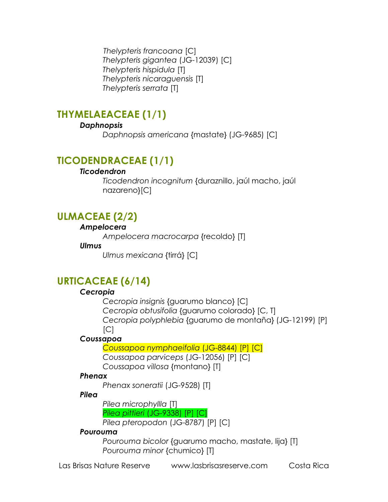*Thelypteris francoana* [C] *Thelypteris gigantea* (JG-12039) [C] *Thelypteris hispidula* [T] *Thelypteris nicaraguensis* [T] *Thelypteris serrata* [T]

## **THYMELAEACEAE (1/1)**

### *Daphnopsis*

*Daphnopsis americana* {mastate} (JG-9685) [C]

## **TICODENDRACEAE (1/1)**

### *Ticodendron*

*Ticodendron incognitum* {duraznillo, jaúl macho, jaúl nazareno}[C]

## **ULMACEAE (2/2)**

#### *Ampelocera*

*Ampelocera macrocarpa* {recoldo} [T]

### *Ulmus*

*Ulmus mexicana* {tirrá} [C]

## **URTICACEAE (6/14)**

### *Cecropia*

*Cecropia insignis* {guarumo blanco} [C] *Cecropia obtusifolia* {guarumo colorado} [C, T] *Cecropia polyphlebia* {guarumo de montaña} (JG-12199) [P]  $[CI]$ 

### *Coussapoa*

*Coussapoa nymphaeifolia* (JG-8844) [P] [C] *Coussapoa parviceps* (JG-12056) [P] [C] *Coussapoa villosa* {montano} [T]

### *Phenax*

*Phenax soneratii* (JG-9528) [T]

### *Pilea*

*Pilea microphyllla* [T]

*Pilea pittieri* (JG-9338) [P] [C]

*Pilea pteropodon* (JG-8787) [P] [C]

### *Pourouma*

*Pourouma bicolor* {guarumo macho, mastate, lija} [T] *Pourouma minor* {chumico} [T]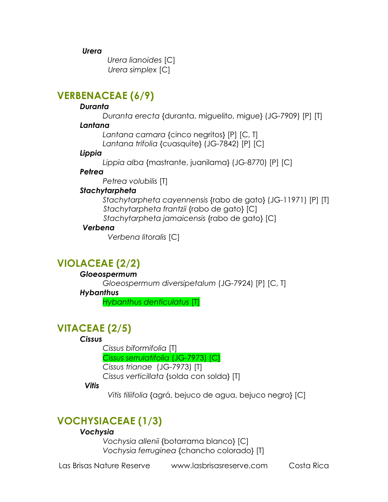*Urera* 

 *Urera lianoides* [C]  *Urera simplex* [C]

## **VERBENACEAE (6/9)**

### *Duranta*

*Duranta erecta* {duranta, miguelito, migue} (JG-7909) [P] [T]

### *Lantana*

*Lantana camara* {cinco negritos} [P] [C, T] *Lantana trifolia* {cuasquite} (JG-7842) [P] [C]

### *Lippia*

*Lippia alba* {mastrante, juanilama} (JG-8770) [P] [C]

### *Petrea*

*Petrea volubilis* [T]

### *Stachytarpheta*

*Stachytarpheta cayennensis* {rabo de gato} (JG-11971) [P] [T]  *Stachytarpheta frantzii* {rabo de gato} [C]  *Stachytarpheta jamaicensis* {rabo de gato} [C]

### *Verbena*

 *Verbena litoralis* [C]

## **VIOLACEAE (2/2)**

### *Gloeospermum*

*Gloeospermum diversipetalum* (JG-7924) [P] [C, T]

### *Hybanthus*

*Hybanthus denticulatus* [T]

## **VITACEAE (2/5)**

### *Cissus*

*Cissus biformifolia* [T]

*Cissus serrulatifolia* (JG-7973) [C]

*Cissus trianae* (JG-7973) [T]

*Cissus verticillata* {solda con solda} [T]

### *Vitis*

 *Vitis tiliifolia* {agrá, bejuco de agua, bejuco negro} [C]

## **VOCHYSIACEAE (1/3)**

### *Vochysia*

*Vochysia allenii* {botarrama blanco} [C] *Vochysia ferruginea* {chancho colorado} [T]